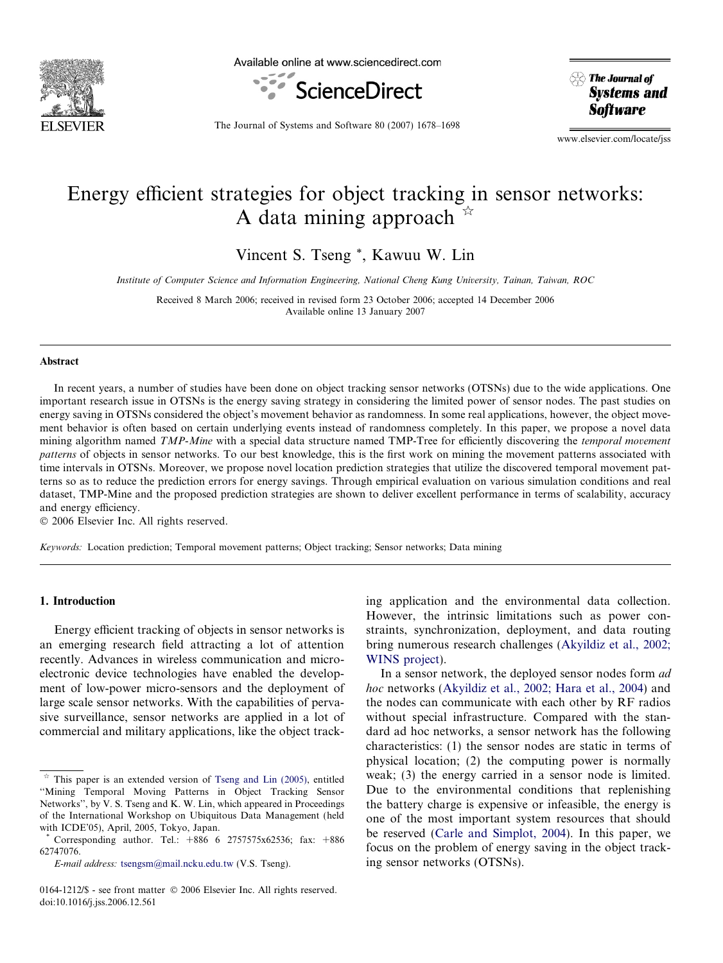

Available online at www.sciencedirect.com



**See The Journal of Systems and Software** 

The Journal of Systems and Software 80 (2007) 1678–1698

www.elsevier.com/locate/jss

# Energy efficient strategies for object tracking in sensor networks: A data mining approach  $\overrightarrow{r}$

Vincent S. Tseng \*, Kawuu W. Lin

Institute of Computer Science and Information Engineering, National Cheng Kung University, Tainan, Taiwan, ROC

Received 8 March 2006; received in revised form 23 October 2006; accepted 14 December 2006 Available online 13 January 2007

#### Abstract

In recent years, a number of studies have been done on object tracking sensor networks (OTSNs) due to the wide applications. One important research issue in OTSNs is the energy saving strategy in considering the limited power of sensor nodes. The past studies on energy saving in OTSNs considered the object's movement behavior as randomness. In some real applications, however, the object movement behavior is often based on certain underlying events instead of randomness completely. In this paper, we propose a novel data mining algorithm named TMP-Mine with a special data structure named TMP-Tree for efficiently discovering the temporal movement patterns of objects in sensor networks. To our best knowledge, this is the first work on mining the movement patterns associated with time intervals in OTSNs. Moreover, we propose novel location prediction strategies that utilize the discovered temporal movement patterns so as to reduce the prediction errors for energy savings. Through empirical evaluation on various simulation conditions and real dataset, TMP-Mine and the proposed prediction strategies are shown to deliver excellent performance in terms of scalability, accuracy and energy efficiency.

© 2006 Elsevier Inc. All rights reserved.

Keywords: Location prediction; Temporal movement patterns; Object tracking; Sensor networks; Data mining

# 1. Introduction

Energy efficient tracking of objects in sensor networks is an emerging research field attracting a lot of attention recently. Advances in wireless communication and microelectronic device technologies have enabled the development of low-power micro-sensors and the deployment of large scale sensor networks. With the capabilities of pervasive surveillance, sensor networks are applied in a lot of commercial and military applications, like the object tracking application and the environmental data collection. However, the intrinsic limitations such as power constraints, synchronization, deployment, and data routing bring numerous research challenges ([Akyildiz et al., 2002;](#page-19-0) [WINS project](#page-19-0)).

In a sensor network, the deployed sensor nodes form *ad* hoc networks ([Akyildiz et al., 2002; Hara et al., 2004](#page-19-0)) and the nodes can communicate with each other by RF radios without special infrastructure. Compared with the standard ad hoc networks, a sensor network has the following characteristics: (1) the sensor nodes are static in terms of physical location; (2) the computing power is normally weak; (3) the energy carried in a sensor node is limited. Due to the environmental conditions that replenishing the battery charge is expensive or infeasible, the energy is one of the most important system resources that should be reserved ([Carle and Simplot, 2004\)](#page-19-0). In this paper, we focus on the problem of energy saving in the object tracking sensor networks (OTSNs).

 $*$  This paper is an extended version of [Tseng and Lin \(2005\),](#page-19-0) entitled ''Mining Temporal Moving Patterns in Object Tracking Sensor Networks'', by V. S. Tseng and K. W. Lin, which appeared in Proceedings of the International Workshop on Ubiquitous Data Management (held with ICDE'05), April, 2005, Tokyo, Japan.

Corresponding author. Tel.: +886 6 2757575x62536; fax: +886 62747076.

E-mail address: [tsengsm@mail.ncku.edu.tw](mailto:tsengsm@mail.ncku.edu.tw) (V.S. Tseng).

<sup>0164-1212/\$ -</sup> see front matter © 2006 Elsevier Inc. All rights reserved. doi:10.1016/j.jss.2006.12.561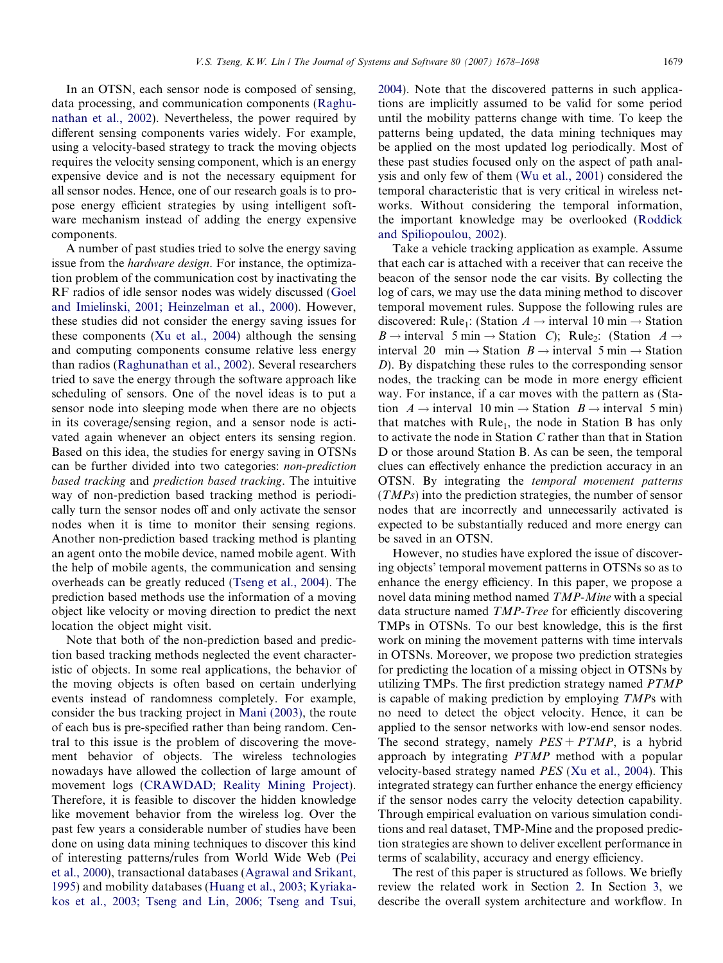requires the velocity sensing component, which is an energy expensive device and is not the necessary equipment for all sensor nodes. Hence, one of our research goals is to propose energy efficient strategies by using intelligent software mechanism instead of adding the energy expensive components.

A number of past studies tried to solve the energy saving issue from the *hardware design*. For instance, the optimization problem of the communication cost by inactivating the RF radios of idle sensor nodes was widely discussed ([Goel](#page-19-0) [and Imielinski, 2001; Heinzelman et al., 2000](#page-19-0)). However, these studies did not consider the energy saving issues for these components ([Xu et al., 2004\)](#page-20-0) although the sensing and computing components consume relative less energy than radios ([Raghunathan et al., 2002](#page-19-0)). Several researchers tried to save the energy through the software approach like scheduling of sensors. One of the novel ideas is to put a sensor node into sleeping mode when there are no objects in its coverage/sensing region, and a sensor node is activated again whenever an object enters its sensing region. Based on this idea, the studies for energy saving in OTSNs can be further divided into two categories: non-prediction based tracking and prediction based tracking. The intuitive way of non-prediction based tracking method is periodically turn the sensor nodes off and only activate the sensor nodes when it is time to monitor their sensing regions. Another non-prediction based tracking method is planting an agent onto the mobile device, named mobile agent. With the help of mobile agents, the communication and sensing overheads can be greatly reduced [\(Tseng et al., 2004\)](#page-20-0). The prediction based methods use the information of a moving object like velocity or moving direction to predict the next location the object might visit.

Note that both of the non-prediction based and prediction based tracking methods neglected the event characteristic of objects. In some real applications, the behavior of the moving objects is often based on certain underlying events instead of randomness completely. For example, consider the bus tracking project in [Mani \(2003\)](#page-19-0), the route of each bus is pre-specified rather than being random. Central to this issue is the problem of discovering the movement behavior of objects. The wireless technologies nowadays have allowed the collection of large amount of movement logs ([CRAWDAD; Reality Mining Project\)](#page-19-0). Therefore, it is feasible to discover the hidden knowledge like movement behavior from the wireless log. Over the past few years a considerable number of studies have been done on using data mining techniques to discover this kind of interesting patterns/rules from World Wide Web [\(Pei](#page-19-0) [et al., 2000](#page-19-0)), transactional databases [\(Agrawal and Srikant,](#page-19-0) [1995](#page-19-0)) and mobility databases [\(Huang et al., 2003; Kyriaka](#page-19-0)[kos et al., 2003; Tseng and Lin, 2006; Tseng and Tsui,](#page-19-0)

[2004](#page-19-0)). Note that the discovered patterns in such applications are implicitly assumed to be valid for some period until the mobility patterns change with time. To keep the patterns being updated, the data mining techniques may be applied on the most updated log periodically. Most of these past studies focused only on the aspect of path analysis and only few of them ([Wu et al., 2001](#page-20-0)) considered the temporal characteristic that is very critical in wireless networks. Without considering the temporal information, the important knowledge may be overlooked ([Roddick](#page-19-0) [and Spiliopoulou, 2002\)](#page-19-0).

Take a vehicle tracking application as example. Assume that each car is attached with a receiver that can receive the beacon of the sensor node the car visits. By collecting the log of cars, we may use the data mining method to discover temporal movement rules. Suppose the following rules are discovered: Rule<sub>1</sub>: (Station  $A \rightarrow$  interval 10 min  $\rightarrow$  Station  $B \rightarrow$  interval 5 min  $\rightarrow$  Station C); Rule<sub>2</sub>: (Station A  $\rightarrow$ interval 20 min  $\rightarrow$  Station  $B \rightarrow$  interval 5 min  $\rightarrow$  Station D). By dispatching these rules to the corresponding sensor nodes, the tracking can be mode in more energy efficient way. For instance, if a car moves with the pattern as (Station  $A \rightarrow$  interval 10 min  $\rightarrow$  Station  $B \rightarrow$  interval 5 min) that matches with  $Rule_1$ , the node in Station B has only to activate the node in Station C rather than that in Station D or those around Station B. As can be seen, the temporal clues can effectively enhance the prediction accuracy in an OTSN. By integrating the temporal movement patterns  $(TMPs)$  into the prediction strategies, the number of sensor nodes that are incorrectly and unnecessarily activated is expected to be substantially reduced and more energy can be saved in an OTSN.

However, no studies have explored the issue of discovering objects' temporal movement patterns in OTSNs so as to enhance the energy efficiency. In this paper, we propose a novel data mining method named TMP-Mine with a special data structure named TMP-Tree for efficiently discovering TMPs in OTSNs. To our best knowledge, this is the first work on mining the movement patterns with time intervals in OTSNs. Moreover, we propose two prediction strategies for predicting the location of a missing object in OTSNs by utilizing TMPs. The first prediction strategy named PTMP is capable of making prediction by employing TMPs with no need to detect the object velocity. Hence, it can be applied to the sensor networks with low-end sensor nodes. The second strategy, namely  $PES + PTMP$ , is a hybrid approach by integrating PTMP method with a popular velocity-based strategy named PES [\(Xu et al., 2004](#page-20-0)). This integrated strategy can further enhance the energy efficiency if the sensor nodes carry the velocity detection capability. Through empirical evaluation on various simulation conditions and real dataset, TMP-Mine and the proposed prediction strategies are shown to deliver excellent performance in terms of scalability, accuracy and energy efficiency.

The rest of this paper is structured as follows. We briefly review the related work in Section [2](#page-2-0). In Section [3](#page-2-0), we describe the overall system architecture and workflow. In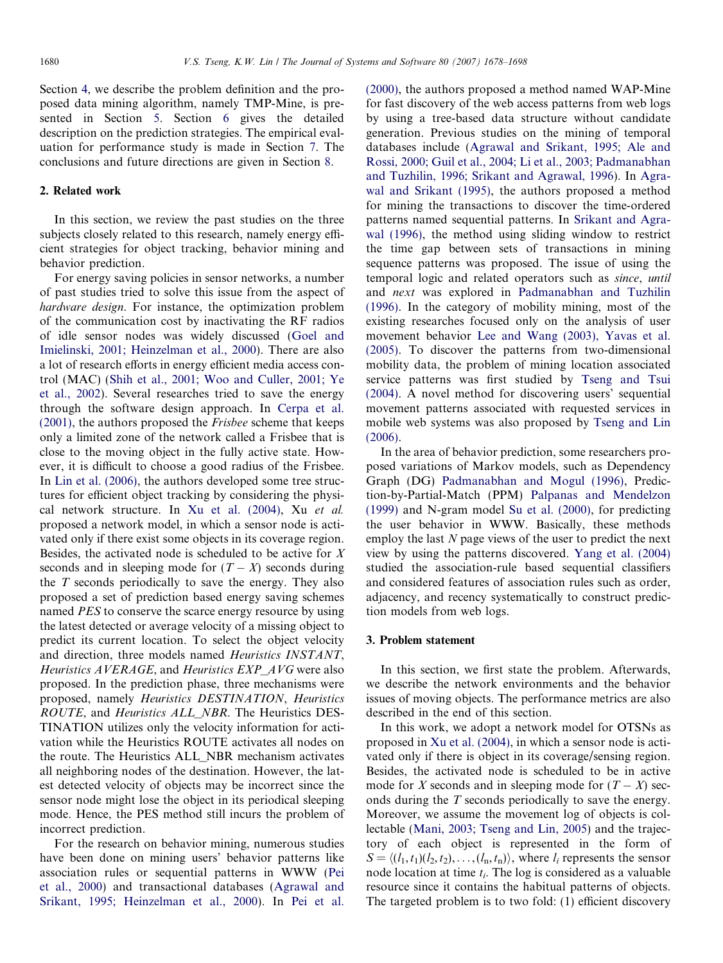<span id="page-2-0"></span>Section [4](#page-3-0), we describe the problem definition and the proposed data mining algorithm, namely TMP-Mine, is presented in Section [5.](#page-4-0) Section [6](#page-9-0) gives the detailed description on the prediction strategies. The empirical evaluation for performance study is made in Section [7](#page-11-0). The conclusions and future directions are given in Section [8.](#page-18-0)

# 2. Related work

In this section, we review the past studies on the three subjects closely related to this research, namely energy efficient strategies for object tracking, behavior mining and behavior prediction.

For energy saving policies in sensor networks, a number of past studies tried to solve this issue from the aspect of hardware design. For instance, the optimization problem of the communication cost by inactivating the RF radios of idle sensor nodes was widely discussed [\(Goel and](#page-19-0) [Imielinski, 2001; Heinzelman et al., 2000](#page-19-0)). There are also a lot of research efforts in energy efficient media access control (MAC) [\(Shih et al., 2001; Woo and Culler, 2001; Ye](#page-19-0) [et al., 2002\)](#page-19-0). Several researches tried to save the energy through the software design approach. In [Cerpa et al.](#page-19-0) [\(2001\)](#page-19-0), the authors proposed the Frisbee scheme that keeps only a limited zone of the network called a Frisbee that is close to the moving object in the fully active state. However, it is difficult to choose a good radius of the Frisbee. In [Lin et al. \(2006\)](#page-19-0), the authors developed some tree structures for efficient object tracking by considering the physical network structure. In [Xu et al. \(2004\)](#page-20-0), Xu et al. proposed a network model, in which a sensor node is activated only if there exist some objects in its coverage region. Besides, the activated node is scheduled to be active for  $X$ seconds and in sleeping mode for  $(T - X)$  seconds during the T seconds periodically to save the energy. They also proposed a set of prediction based energy saving schemes named PES to conserve the scarce energy resource by using the latest detected or average velocity of a missing object to predict its current location. To select the object velocity and direction, three models named Heuristics INSTANT, Heuristics AVERAGE, and Heuristics EXP\_AVG were also proposed. In the prediction phase, three mechanisms were proposed, namely Heuristics DESTINATION, Heuristics ROUTE, and Heuristics ALL\_NBR. The Heuristics DES-TINATION utilizes only the velocity information for activation while the Heuristics ROUTE activates all nodes on the route. The Heuristics ALL\_NBR mechanism activates all neighboring nodes of the destination. However, the latest detected velocity of objects may be incorrect since the sensor node might lose the object in its periodical sleeping mode. Hence, the PES method still incurs the problem of incorrect prediction.

For the research on behavior mining, numerous studies have been done on mining users' behavior patterns like association rules or sequential patterns in WWW ([Pei](#page-19-0) [et al., 2000](#page-19-0)) and transactional databases ([Agrawal and](#page-19-0) [Srikant, 1995; Heinzelman et al., 2000](#page-19-0)). In [Pei et al.](#page-19-0)

[\(2000\)](#page-19-0), the authors proposed a method named WAP-Mine for fast discovery of the web access patterns from web logs by using a tree-based data structure without candidate generation. Previous studies on the mining of temporal databases include [\(Agrawal and Srikant, 1995; Ale and](#page-19-0) [Rossi, 2000; Guil et al., 2004; Li et al., 2003; Padmanabhan](#page-19-0) [and Tuzhilin, 1996; Srikant and Agrawal, 1996\)](#page-19-0). In [Agra](#page-19-0)[wal and Srikant \(1995\)](#page-19-0), the authors proposed a method for mining the transactions to discover the time-ordered patterns named sequential patterns. In [Srikant and Agra](#page-19-0)[wal \(1996\)](#page-19-0), the method using sliding window to restrict the time gap between sets of transactions in mining sequence patterns was proposed. The issue of using the temporal logic and related operators such as since, until and next was explored in [Padmanabhan and Tuzhilin](#page-19-0) [\(1996\)](#page-19-0). In the category of mobility mining, most of the existing researches focused only on the analysis of user movement behavior [Lee and Wang \(2003\), Yavas et al.](#page-19-0) [\(2005\)](#page-19-0). To discover the patterns from two-dimensional mobility data, the problem of mining location associated service patterns was first studied by [Tseng and Tsui](#page-20-0) [\(2004\)](#page-20-0). A novel method for discovering users' sequential movement patterns associated with requested services in mobile web systems was also proposed by [Tseng and Lin](#page-19-0) [\(2006\)](#page-19-0).

In the area of behavior prediction, some researchers proposed variations of Markov models, such as Dependency Graph (DG) [Padmanabhan and Mogul \(1996\)](#page-19-0), Prediction-by-Partial-Match (PPM) [Palpanas and Mendelzon](#page-19-0) [\(1999\)](#page-19-0) and N-gram model [Su et al. \(2000\),](#page-19-0) for predicting the user behavior in WWW. Basically, these methods employ the last  $N$  page views of the user to predict the next view by using the patterns discovered. [Yang et al. \(2004\)](#page-20-0) studied the association-rule based sequential classifiers and considered features of association rules such as order, adjacency, and recency systematically to construct prediction models from web logs.

# 3. Problem statement

In this section, we first state the problem. Afterwards, we describe the network environments and the behavior issues of moving objects. The performance metrics are also described in the end of this section.

In this work, we adopt a network model for OTSNs as proposed in [Xu et al. \(2004\)](#page-20-0), in which a sensor node is activated only if there is object in its coverage/sensing region. Besides, the activated node is scheduled to be in active mode for X seconds and in sleeping mode for  $(T - X)$  seconds during the T seconds periodically to save the energy. Moreover, we assume the movement log of objects is collectable ([Mani, 2003; Tseng and Lin, 2005\)](#page-19-0) and the trajectory of each object is represented in the form of  $S = \langle (l_1,t_1)(l_2,t_2),\ldots,(l_n,t_n)\rangle$ , where  $l_i$  represents the sensor node location at time  $t_i$ . The log is considered as a valuable resource since it contains the habitual patterns of objects. The targeted problem is to two fold: (1) efficient discovery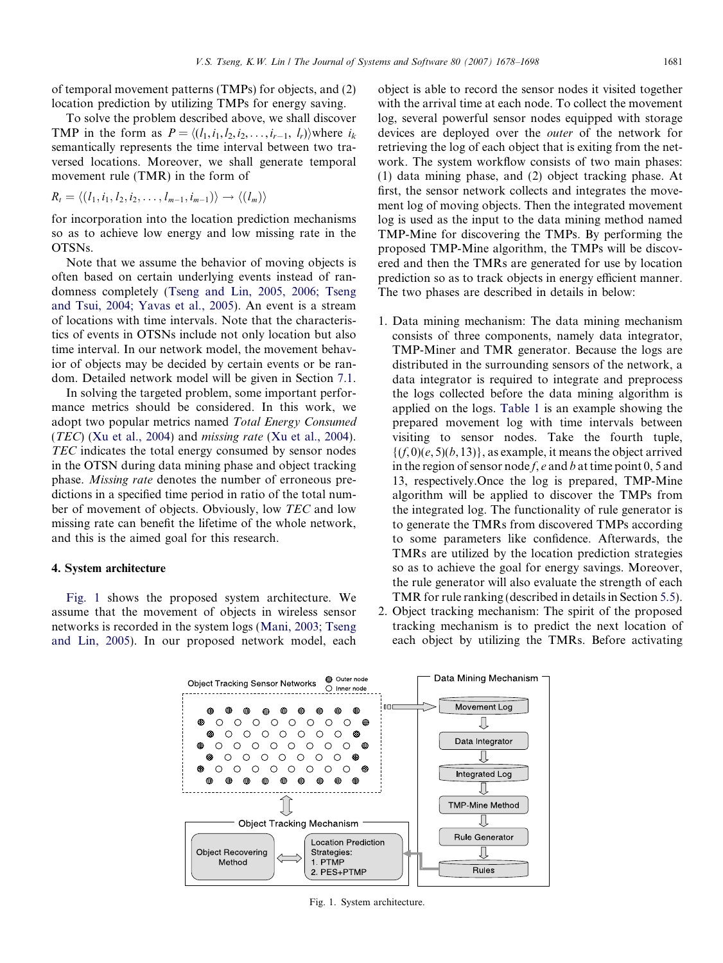<span id="page-3-0"></span>of temporal movement patterns (TMPs) for objects, and (2) location prediction by utilizing TMPs for energy saving.

To solve the problem described above, we shall discover TMP in the form as  $P = \langle (l_1, i_1, l_2, i_2, \ldots, i_{r-1}, l_r) \rangle$  where  $i_k$ semantically represents the time interval between two traversed locations. Moreover, we shall generate temporal movement rule (TMR) in the form of

$$
R_t = \langle (l_1, i_1, l_2, i_2, \ldots, l_{m-1}, i_{m-1}) \rangle \rightarrow \langle (l_m) \rangle
$$

for incorporation into the location prediction mechanisms so as to achieve low energy and low missing rate in the OTSNs.

Note that we assume the behavior of moving objects is often based on certain underlying events instead of randomness completely ([Tseng and Lin, 2005, 2006; Tseng](#page-19-0) [and Tsui, 2004; Yavas et al., 2005\)](#page-19-0). An event is a stream of locations with time intervals. Note that the characteristics of events in OTSNs include not only location but also time interval. In our network model, the movement behavior of objects may be decided by certain events or be random. Detailed network model will be given in Section [7.1.](#page-11-0)

In solving the targeted problem, some important performance metrics should be considered. In this work, we adopt two popular metrics named Total Energy Consumed (TEC) [\(Xu et al., 2004](#page-20-0)) and missing rate ([Xu et al., 2004\)](#page-20-0). TEC indicates the total energy consumed by sensor nodes in the OTSN during data mining phase and object tracking phase. Missing rate denotes the number of erroneous predictions in a specified time period in ratio of the total number of movement of objects. Obviously, low TEC and low missing rate can benefit the lifetime of the whole network, and this is the aimed goal for this research.

# 4. System architecture

Fig. 1 shows the proposed system architecture. We assume that the movement of objects in wireless sensor networks is recorded in the system logs [\(Mani, 2003; Tseng](#page-19-0) [and Lin, 2005](#page-19-0)). In our proposed network model, each object is able to record the sensor nodes it visited together with the arrival time at each node. To collect the movement log, several powerful sensor nodes equipped with storage devices are deployed over the outer of the network for retrieving the log of each object that is exiting from the network. The system workflow consists of two main phases: (1) data mining phase, and (2) object tracking phase. At first, the sensor network collects and integrates the movement log of moving objects. Then the integrated movement log is used as the input to the data mining method named TMP-Mine for discovering the TMPs. By performing the proposed TMP-Mine algorithm, the TMPs will be discovered and then the TMRs are generated for use by location prediction so as to track objects in energy efficient manner. The two phases are described in details in below:

- 1. Data mining mechanism: The data mining mechanism consists of three components, namely data integrator, TMP-Miner and TMR generator. Because the logs are distributed in the surrounding sensors of the network, a data integrator is required to integrate and preprocess the logs collected before the data mining algorithm is applied on the logs. [Table 1](#page-4-0) is an example showing the prepared movement log with time intervals between visiting to sensor nodes. Take the fourth tuple,  $\{(f, 0)(e, 5)(b, 13)\}\)$ , as example, it means the object arrived in the region of sensor node f, e and b at time point  $0, 5$  and 13, respectively.Once the log is prepared, TMP-Mine algorithm will be applied to discover the TMPs from the integrated log. The functionality of rule generator is to generate the TMRs from discovered TMPs according to some parameters like confidence. Afterwards, the TMRs are utilized by the location prediction strategies so as to achieve the goal for energy savings. Moreover, the rule generator will also evaluate the strength of each TMR for rule ranking (described in details in Section [5.5\)](#page-6-0).
- 2. Object tracking mechanism: The spirit of the proposed tracking mechanism is to predict the next location of each object by utilizing the TMRs. Before activating



Fig. 1. System architecture.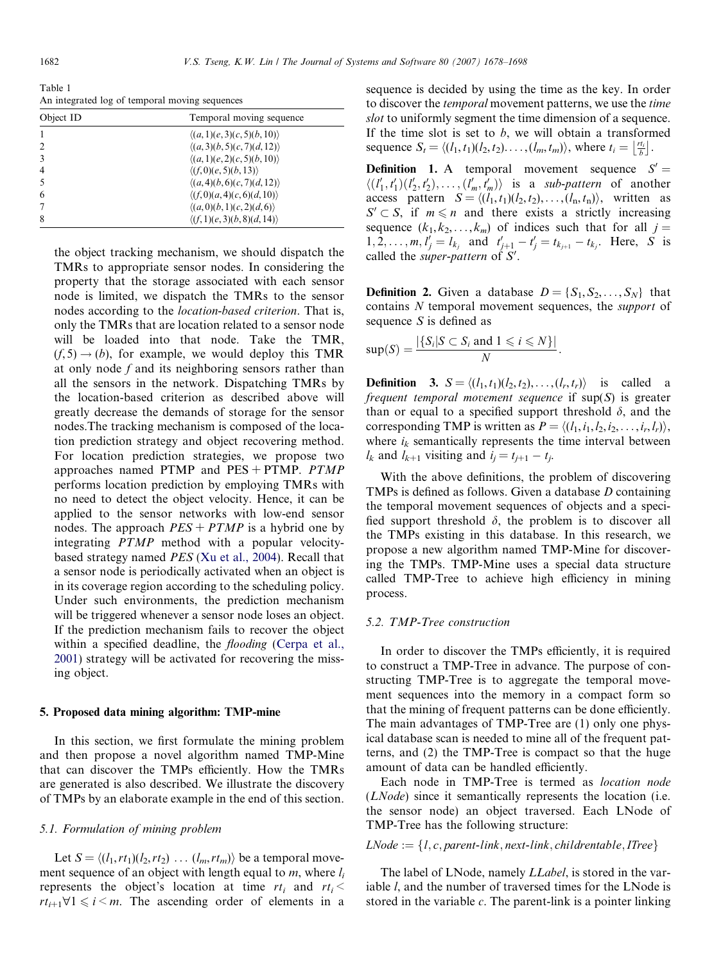<span id="page-4-0"></span>Table 1 An integrated log of temporal moving sequences

| Object ID | Temporal moving sequence                    |
|-----------|---------------------------------------------|
|           | $\langle (a, 1)(e, 3)(c, 5)(b, 10) \rangle$ |
|           | $\langle (a,3)(b,5)(c,7)(d,12) \rangle$     |
|           | $\langle (a, 1)(e, 2)(c, 5)(b, 10) \rangle$ |
| 4         | $\langle (f,0)(e,5)(b,13) \rangle$          |
|           | $\langle (a,4)(b,6)(c,7)(d,12) \rangle$     |
| 6         | $\langle (f,0)(a,4)(c,6)(d,10) \rangle$     |
|           | $\langle (a,0)(b,1)(c,2)(d,6) \rangle$      |
| 8         | $\langle (f,1)(e,3)(b,8)(d,14) \rangle$     |

the object tracking mechanism, we should dispatch the TMRs to appropriate sensor nodes. In considering the property that the storage associated with each sensor node is limited, we dispatch the TMRs to the sensor nodes according to the location-based criterion. That is, only the TMRs that are location related to a sensor node will be loaded into that node. Take the TMR,  $(f, 5) \rightarrow (b)$ , for example, we would deploy this TMR at only node  $f$  and its neighboring sensors rather than all the sensors in the network. Dispatching TMRs by the location-based criterion as described above will greatly decrease the demands of storage for the sensor nodes.The tracking mechanism is composed of the location prediction strategy and object recovering method. For location prediction strategies, we propose two approaches named PTMP and PES + PTMP. PTMP performs location prediction by employing TMRs with no need to detect the object velocity. Hence, it can be applied to the sensor networks with low-end sensor nodes. The approach  $PES + PTMP$  is a hybrid one by integrating PTMP method with a popular velocitybased strategy named PES [\(Xu et al., 2004\)](#page-20-0). Recall that a sensor node is periodically activated when an object is in its coverage region according to the scheduling policy. Under such environments, the prediction mechanism will be triggered whenever a sensor node loses an object. If the prediction mechanism fails to recover the object within a specified deadline, the *flooding* ([Cerpa et al.,](#page-19-0) [2001\)](#page-19-0) strategy will be activated for recovering the missing object.

## 5. Proposed data mining algorithm: TMP-mine

In this section, we first formulate the mining problem and then propose a novel algorithm named TMP-Mine that can discover the TMPs efficiently. How the TMRs are generated is also described. We illustrate the discovery of TMPs by an elaborate example in the end of this section.

## 5.1. Formulation of mining problem

Let  $S = \langle (l_1,rt_1)(l_2,rt_2) \dots (l_m,rt_m) \rangle$  be a temporal movement sequence of an object with length equal to  $m$ , where  $l_i$ represents the object's location at time  $rt_i$  and  $rt_i$  $rt_{i+1} \forall 1 \leq i \leq m$ . The ascending order of elements in a

sequence is decided by using the time as the key. In order to discover the temporal movement patterns, we use the time slot to uniformly segment the time dimension of a sequence. If the time slot is set to  $b$ , we will obtain a transformed sequence  $S_t = \langle (l_1, t_1)(l_2, t_2) \dots, (l_m, t_m) \rangle$ , where  $t_i = \left\lfloor \frac{rt_i}{b} \right\rfloor$  $\left|\frac{rt_i}{b}\right|.$ 

**Definition** 1. A temporal movement sequence  $S' =$  $\langle (l'_1, t'_1)(l'_2, t'_2), \ldots, (l'_m, t'_m) \rangle$  is a *sub-pattern* of another access pattern  $S = \langle (l_1,t_1)(l_2,t_2),\ldots,(l_n,t_n)\rangle$ , written as  $S' \subset S$ , if  $m \leq n$  and there exists a strictly increasing sequence  $(k_1, k_2, \ldots, k_m)$  of indices such that for all  $j =$  $1, 2, \ldots, m, l'_j = l_{k_j}$  and  $t'_{j+1} - t'_j = t_{k_{j+1}} - t_{k_j}$ . Here, S is called the super-pattern of  $S'$ .

**Definition 2.** Given a database  $D = \{S_1, S_2, \ldots, S_N\}$  that contains N temporal movement sequences, the support of sequence S is defined as

$$
\sup(S) = \frac{|\{S_i|S \subset S_i \text{ and } 1 \leq i \leq N\}|}{N}.
$$

**Definition** 3.  $S = \langle (l_1,t_1)(l_2,t_2),\ldots,(l_r,t_r) \rangle$  is called a frequent temporal movement sequence if  $sup(S)$  is greater than or equal to a specified support threshold  $\delta$ , and the corresponding TMP is written as  $P = \langle (l_1,i_1,l_2,i_2,\ldots,i_r,l_r) \rangle$ , where  $i_k$  semantically represents the time interval between  $l_k$  and  $l_{k+1}$  visiting and  $i_j = t_{j+1} - t_j$ .

With the above definitions, the problem of discovering TMPs is defined as follows. Given a database D containing the temporal movement sequences of objects and a specified support threshold  $\delta$ , the problem is to discover all the TMPs existing in this database. In this research, we propose a new algorithm named TMP-Mine for discovering the TMPs. TMP-Mine uses a special data structure called TMP-Tree to achieve high efficiency in mining process.

# 5.2. TMP-Tree construction

In order to discover the TMPs efficiently, it is required to construct a TMP-Tree in advance. The purpose of constructing TMP-Tree is to aggregate the temporal movement sequences into the memory in a compact form so that the mining of frequent patterns can be done efficiently. The main advantages of TMP-Tree are (1) only one physical database scan is needed to mine all of the frequent patterns, and (2) the TMP-Tree is compact so that the huge amount of data can be handled efficiently.

Each node in TMP-Tree is termed as location node (LNode) since it semantically represents the location (i.e. the sensor node) an object traversed. Each LNode of TMP-Tree has the following structure:

# $LNode := \{l, c, parent-link, next-link, childrentable, ITree\}$

The label of LNode, namely *LLabel*, is stored in the variable l, and the number of traversed times for the LNode is stored in the variable  $c$ . The parent-link is a pointer linking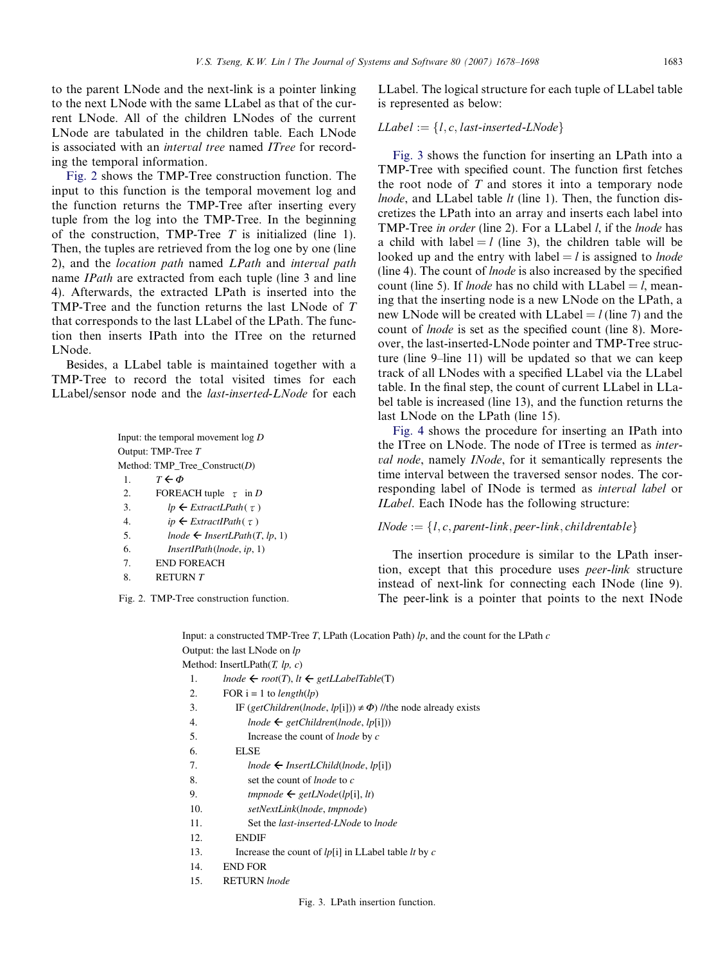to the parent LNode and the next-link is a pointer linking to the next LNode with the same LLabel as that of the current LNode. All of the children LNodes of the current LNode are tabulated in the children table. Each LNode is associated with an interval tree named ITree for recording the temporal information.

Fig. 2 shows the TMP-Tree construction function. The input to this function is the temporal movement log and the function returns the TMP-Tree after inserting every tuple from the log into the TMP-Tree. In the beginning of the construction, TMP-Tree  $T$  is initialized (line 1). Then, the tuples are retrieved from the log one by one (line 2), and the location path named LPath and interval path name IPath are extracted from each tuple (line 3 and line 4). Afterwards, the extracted LPath is inserted into the TMP-Tree and the function returns the last LNode of T that corresponds to the last LLabel of the LPath. The function then inserts IPath into the ITree on the returned LNode.

Besides, a LLabel table is maintained together with a TMP-Tree to record the total visited times for each LLabel/sensor node and the last-inserted-LNode for each

> Input: the temporal movement log *D* Output: TMP-Tree *T* Method: TMP\_Tree\_Construct(*D*) 1. *T* 2. FOREACH tuple  $\tau$  in *D* 3. *lp*  $\leftarrow$  *ExtractLPath*( $\tau$ ) 4. *ip*  $\leftarrow$  *ExtractIPath*( $\tau$ ) 5. *lnode*  $\leftarrow$  *InsertLPath*(*T*, *lp*, 1) 6. *InsertIPath*(*lnode*, *ip*, 1) 7. END FOREACH  $T \leftarrow \Phi$

8. RETURN *T*

Fig. 2. TMP-Tree construction function.

LLabel. The logical structure for each tuple of LLabel table is represented as below:

 $LLabel := \{l, c, last-inserted-LNode\}$ 

Fig. 3 shows the function for inserting an LPath into a TMP-Tree with specified count. The function first fetches the root node of  $T$  and stores it into a temporary node lnode, and LLabel table lt (line 1). Then, the function discretizes the LPath into an array and inserts each label into TMP-Tree in order (line 2). For a LLabel *l*, if the *lnode* has a child with label  $=$  l (line 3), the children table will be looked up and the entry with label  $=$  l is assigned to *lnode* (line 4). The count of lnode is also increased by the specified count (line 5). If *lnode* has no child with LLabel = *l*, meaning that the inserting node is a new LNode on the LPath, a new LNode will be created with LLabel =  $l$  (line 7) and the count of lnode is set as the specified count (line 8). Moreover, the last-inserted-LNode pointer and TMP-Tree structure (line 9–line 11) will be updated so that we can keep track of all LNodes with a specified LLabel via the LLabel table. In the final step, the count of current LLabel in LLabel table is increased (line 13), and the function returns the last LNode on the LPath (line 15).

[Fig. 4](#page-6-0) shows the procedure for inserting an IPath into the ITree on LNode. The node of ITree is termed as interval node, namely *INode*, for it semantically represents the time interval between the traversed sensor nodes. The corresponding label of INode is termed as interval label or ILabel. Each INode has the following structure:

# $INode := \{l, c, parent-link, peer-link, childrentable\}$

The insertion procedure is similar to the LPath insertion, except that this procedure uses peer-link structure instead of next-link for connecting each INode (line 9). The peer-link is a pointer that points to the next INode

Input: a constructed TMP-Tree *T*, LPath (Location Path) *lp*, and the count for the LPath *c* Output: the last LNode on *lp* Method: InsertLPath(*T, lp, c*)

- 1. *lnode*  $\leftarrow root(T)$ , *lt*  $\leftarrow getLLabelTable(T)$
- 2. FOR  $i = 1$  to *length*(*lp*)
- 3. IF (*getChildren*(*lnode*, *lp*[i])) ≠Φ) //the node already exists
- 4. *lnode getChildren*(*lnode*, *lp*[i]))
- 5. Increase the count of *lnode* by *c*
- 6. ELSE
- 7. *lnode InsertLChild*(*lnode*, *lp*[i])
- 8. set the count of *lnode* to *c*
- 9. *tmpnode*  $\leftarrow$  *getLNode*(*lp*[i], *lt*)
- 10. *setNextLink*(*lnode*, *tmpnode*)
- 11. Set the *last-inserted-LNode* to *lnode*
- 12. ENDIF
- 13. Increase the count of *lp*[i] in LLabel table *lt* by *c*
- 14. END FOR
- 15. RETURN *lnode*

Fig. 3. LPath insertion function.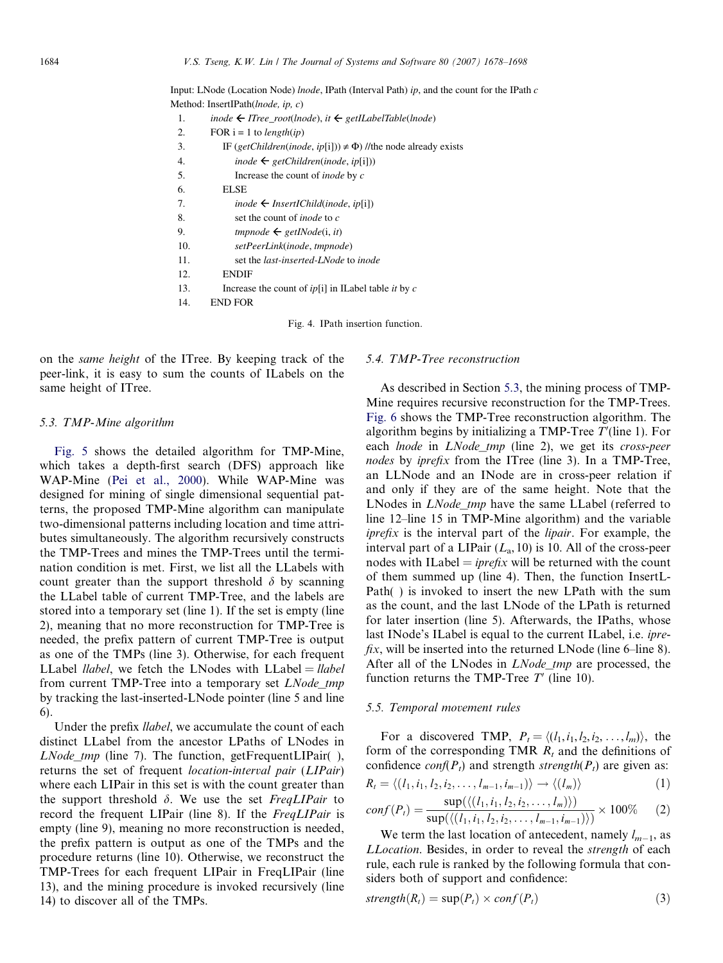<span id="page-6-0"></span>Input: LNode (Location Node) *lnode*, IPath (Interval Path) *ip*, and the count for the IPath *c* Method: InsertIPath(*lnode, ip, c*)

| 1.  | inode $\leftarrow$ ITree_root(lnode), it $\leftarrow$ getILabelTable(lnode) |
|-----|-----------------------------------------------------------------------------|
| 2.  | FOR $i = 1$ to length(ip)                                                   |
| 3.  | IF (getChildren(inode, ip[i])) $\neq \Phi$ ) //the node already exists      |
| 4.  | inode $\leftarrow$ getChildren(inode, ip[i]))                               |
| 5.  | Increase the count of <i>inode</i> by c                                     |
| 6.  | ELSE                                                                        |
| 7.  | inode $\leftarrow$ InsertIChild(inode, ip[i])                               |
| 8.  | set the count of <i>inode</i> to c                                          |
| 9.  | $tmpnode \leftarrow getNode(i, it)$                                         |
| 10. | setPeerLink(inode, tmpnode)                                                 |
| 11. | set the <i>last-inserted-LNode</i> to <i>inode</i>                          |
| 12. | <b>ENDIF</b>                                                                |
| 13. | Increase the count of $ip[i]$ in ILabel table <i>it</i> by c                |
| 14. | <b>END FOR</b>                                                              |

Fig. 4. IPath insertion function.

on the same height of the ITree. By keeping track of the peer-link, it is easy to sum the counts of ILabels on the same height of ITree.

## 5.3. TMP-Mine algorithm

[Fig. 5](#page-7-0) shows the detailed algorithm for TMP-Mine, which takes a depth-first search (DFS) approach like WAP-Mine [\(Pei et al., 2000\)](#page-19-0). While WAP-Mine was designed for mining of single dimensional sequential patterns, the proposed TMP-Mine algorithm can manipulate two-dimensional patterns including location and time attributes simultaneously. The algorithm recursively constructs the TMP-Trees and mines the TMP-Trees until the termination condition is met. First, we list all the LLabels with count greater than the support threshold  $\delta$  by scanning the LLabel table of current TMP-Tree, and the labels are stored into a temporary set (line 1). If the set is empty (line 2), meaning that no more reconstruction for TMP-Tree is needed, the prefix pattern of current TMP-Tree is output as one of the TMPs (line 3). Otherwise, for each frequent LLabel *llabel*, we fetch the LNodes with  $LLabel =$ *llabel* from current TMP-Tree into a temporary set *LNode* tmp by tracking the last-inserted-LNode pointer (line 5 and line 6).

Under the prefix *llabel*, we accumulate the count of each distinct LLabel from the ancestor LPaths of LNodes in LNode\_tmp (line 7). The function, getFrequentLIPair(), returns the set of frequent location-interval pair (LIPair) where each LIPair in this set is with the count greater than the support threshold  $\delta$ . We use the set FreqLIPair to record the frequent LIPair (line 8). If the FreqLIPair is empty (line 9), meaning no more reconstruction is needed, the prefix pattern is output as one of the TMPs and the procedure returns (line 10). Otherwise, we reconstruct the TMP-Trees for each frequent LIPair in FreqLIPair (line 13), and the mining procedure is invoked recursively (line 14) to discover all of the TMPs.

#### 5.4. TMP-Tree reconstruction

As described in Section 5.3, the mining process of TMP-Mine requires recursive reconstruction for the TMP-Trees. [Fig. 6](#page-7-0) shows the TMP-Tree reconstruction algorithm. The algorithm begins by initializing a TMP-Tree  $T'$ (line 1). For each *lnode* in *LNode tmp* (line 2), we get its *cross-peer* nodes by *iprefix* from the ITree (line 3). In a TMP-Tree, an LLNode and an INode are in cross-peer relation if and only if they are of the same height. Note that the LNodes in *LNode\_tmp* have the same LLabel (referred to line 12–line 15 in TMP-Mine algorithm) and the variable iprefix is the interval part of the lipair. For example, the interval part of a LIPair  $(L_a, 10)$  is 10. All of the cross-peer nodes with ILabel =  $iprefix$  will be returned with the count of them summed up (line 4). Then, the function InsertL-Path( ) is invoked to insert the new LPath with the sum as the count, and the last LNode of the LPath is returned for later insertion (line 5). Afterwards, the IPaths, whose last INode's ILabel is equal to the current ILabel, i.e. ipre $fix$ , will be inserted into the returned LNode (line 6–line 8). After all of the LNodes in *LNode\_tmp* are processed, the function returns the TMP-Tree  $T'$  (line 10).

## 5.5. Temporal movement rules

For a discovered TMP,  $P_t = \langle (l_1,i_1,l_2,i_2, \ldots, l_m) \rangle$ , the form of the corresponding TMR  $R_t$  and the definitions of confidence  $conf(P_t)$  and strength strength( $P_t$ ) are given as:

$$
R_t = \langle (l_1, i_1, l_2, i_2, \dots, l_{m-1}, i_{m-1}) \rangle \rightarrow \langle (l_m) \rangle \tag{1}
$$

$$
conf(P_t) = \frac{\sup(\langle (l_1, i_1, l_2, i_2, \dots, l_m) \rangle)}{\sup(\langle (l_1, i_1, l_2, i_2, \dots, l_{m-1}, i_{m-1}) \rangle)} \times 100\% \qquad (2)
$$

We term the last location of antecedent, namely  $l_{m-1}$ , as LLocation. Besides, in order to reveal the *strength* of each rule, each rule is ranked by the following formula that considers both of support and confidence:

$$
strength(Rt) = sup(Pt) \times conf(Pt)
$$
\n(3)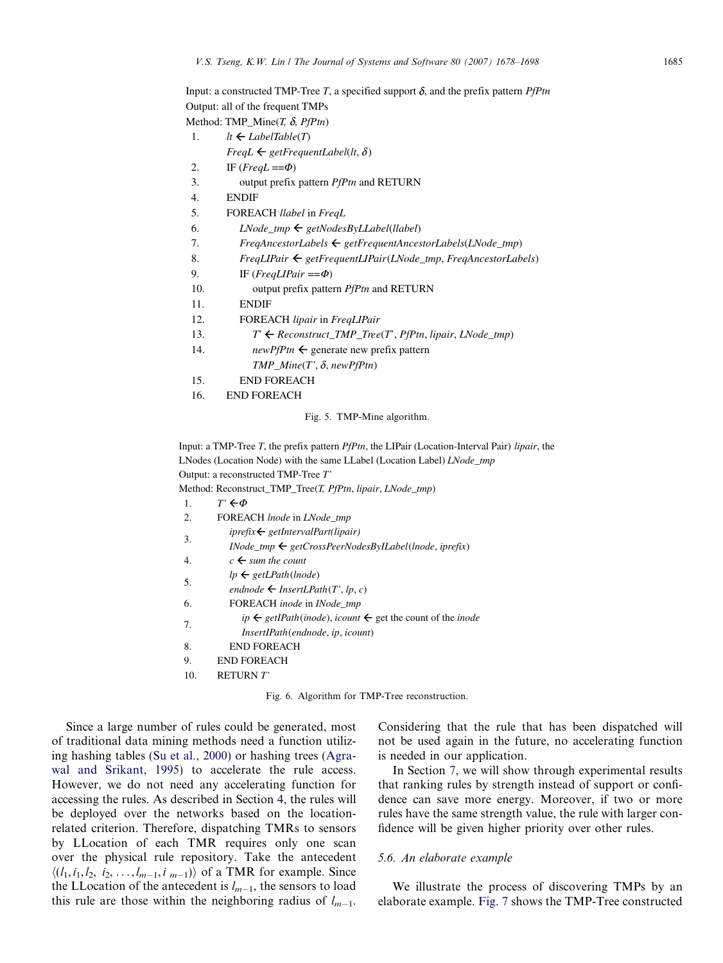<span id="page-7-0"></span>Input: a constructed TMP-Tree *T*, a specified support  $\delta$ , and the prefix pattern *PfPtn* Output: all of the frequent TMPs Method: TMP\_Mine $(T, \delta, PfPtn)$ 

1. *lt*  $\leftarrow$  *LabelTable*(*T*)

- *FreqL*  $\leftarrow$  getFrequentLabel(lt,  $\delta$ )
- 2. IF  $(FreqL = \Phi)$
- 3. output prefix pattern *PfPtn* and RETURN
- 4. ENDIF
- 5. FOREACH *llabel* in *FreqL*
- 6. *LNode\_tmp getNodesByLLabel*(*llabel*)
- 7. *FreqAncestorLabels getFrequentAncestorLabels*(*LNode\_tmp*)
- 8. *FreqLIPair getFrequentLIPair*(*LNode\_tmp*, *FreqAncestorLabels*)
- 9. IF  $(FreqLIPair == \Phi)$
- 10. output prefix pattern *PfPtn* and RETURN
- 11. ENDIF
- 12. FOREACH *lipair* in *FreqLIPair*
- 13. *T*' *Reconstruct\_TMP\_Tree*(*T*', *PfPtn*, *lipair*, *LNode\_tmp*)
- 14. *newPfPtn*  $\leftarrow$  generate new prefix pattern
	- $TMP\_Mine(T', \delta, newPfPtn)$
- 15. END FOREACH
- 16. END FOREACH

Fig. 5. TMP-Mine algorithm.

Input: a TMP-Tree *T*, the prefix pattern *PfPtn*, the LIPair (Location-Interval Pair) *lipair*, the LNodes (Location Node) with the same LLabel (Location Label) *LNode\_tmp* Output: a reconstructed TMP-Tree *T'* Method: Reconstruct\_TMP\_Tree(*T, PfPtn*, *lipair*, *LNode\_tmp*)

- 1. *T'* Φ
- 2. FOREACH *lnode* in *LNode\_tmp*
- 3. *iprefix* ← *getIntervalPart(lipair)*
- *INode\_tmp getCrossPeerNodesByILabel*(*lnode*, *iprefix*)
- 4.  $c \leftarrow sum the count$
- 5.  $lp \leftarrow getLPath(hode)$
- $endnode \leftarrow InsertLPath(T', lp, c)$
- 6. FOREACH *inode* in *INode\_tmp*
- $i p \leftarrow \text{get}(\text{Path}(\text{inode}), \text{ icount} \leftarrow \text{get the count of the \text{ inode}})$
- *InsertIPath*(*endnode*, *ip*, *icount*)
- 8. END FOREACH
- 9. END FOREACH
- 10. RETURN *T'*



Since a large number of rules could be generated, most of traditional data mining methods need a function utilizing hashing tables [\(Su et al., 2000](#page-19-0)) or hashing trees ([Agra](#page-19-0)[wal and Srikant, 1995\)](#page-19-0) to accelerate the rule access. However, we do not need any accelerating function for accessing the rules. As described in Section [4,](#page-3-0) the rules will be deployed over the networks based on the locationrelated criterion. Therefore, dispatching TMRs to sensors by LLocation of each TMR requires only one scan over the physical rule repository. Take the antecedent  $\langle (l_1, i_1, l_2, i_2, \ldots, l_{m-1}, i_{m-1}) \rangle$  of a TMR for example. Since the LLocation of the antecedent is  $l_{m-1}$ , the sensors to load this rule are those within the neighboring radius of  $l_{m-1}$ .

Considering that the rule that has been dispatched will not be used again in the future, no accelerating function is needed in our application.

In Section [7](#page-11-0), we will show through experimental results that ranking rules by strength instead of support or confidence can save more energy. Moreover, if two or more rules have the same strength value, the rule with larger confidence will be given higher priority over other rules.

## 5.6. An elaborate example

We illustrate the process of discovering TMPs by an elaborate example. [Fig. 7](#page-8-0) shows the TMP-Tree constructed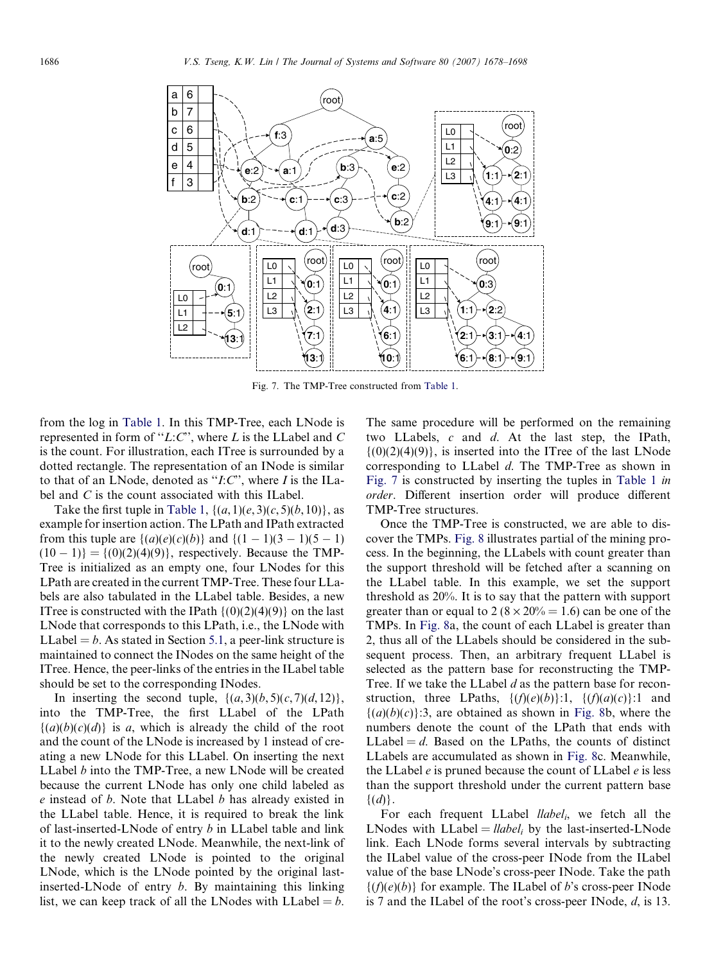<span id="page-8-0"></span>

Fig. 7. The TMP-Tree constructed from [Table 1.](#page-4-0)

from the log in [Table 1](#page-4-0). In this TMP-Tree, each LNode is represented in form of " $L:C$ ", where L is the LLabel and C is the count. For illustration, each ITree is surrounded by a dotted rectangle. The representation of an INode is similar to that of an LNode, denoted as " $I:C$ ", where  $I$  is the ILabel and C is the count associated with this ILabel.

Take the first tuple in [Table 1](#page-4-0),  $\{(a, 1)(e, 3)(c, 5)(b, 10)\}\)$ , as example for insertion action. The LPath and IPath extracted from this tuple are  $\{(a)(e)(c)(b)\}$  and  $\{(1-1)(3-1)(5-1)\}$  $(10 - 1)$ } = { $(0)(2)(4)(9)$ }, respectively. Because the TMP-Tree is initialized as an empty one, four LNodes for this LPath are created in the current TMP-Tree. These four LLabels are also tabulated in the LLabel table. Besides, a new ITree is constructed with the IPath  $\{(0)(2)(4)(9)\}\)$  on the last LNode that corresponds to this LPath, i.e., the LNode with LLabel =  $b$ . As stated in Section [5.1,](#page-4-0) a peer-link structure is maintained to connect the INodes on the same height of the ITree. Hence, the peer-links of the entries in the ILabel table should be set to the corresponding INodes.

In inserting the second tuple,  $\{(a, 3)(b, 5)(c, 7)(d, 12)\}\,$ into the TMP-Tree, the first LLabel of the LPath  $\{(a)(b)(c)(d)\}\$ is a, which is already the child of the root and the count of the LNode is increased by 1 instead of creating a new LNode for this LLabel. On inserting the next LLabel b into the TMP-Tree, a new LNode will be created because the current LNode has only one child labeled as  $e$  instead of  $b$ . Note that LLabel  $b$  has already existed in the LLabel table. Hence, it is required to break the link of last-inserted-LNode of entry  $b$  in LLabel table and link it to the newly created LNode. Meanwhile, the next-link of the newly created LNode is pointed to the original LNode, which is the LNode pointed by the original lastinserted-LNode of entry b. By maintaining this linking list, we can keep track of all the LNodes with  $LLabel = b$ .

The same procedure will be performed on the remaining two LLabels,  $c$  and  $d$ . At the last step, the IPath,  $\{(0)(2)(4)(9)\}\)$ , is inserted into the ITree of the last LNode corresponding to LLabel d. The TMP-Tree as shown in Fig. 7 is constructed by inserting the tuples in [Table 1](#page-4-0) in order. Different insertion order will produce different TMP-Tree structures.

Once the TMP-Tree is constructed, we are able to discover the TMPs. [Fig. 8](#page-9-0) illustrates partial of the mining process. In the beginning, the LLabels with count greater than the support threshold will be fetched after a scanning on the LLabel table. In this example, we set the support threshold as 20%. It is to say that the pattern with support greater than or equal to  $2(8 \times 20\% = 1.6)$  can be one of the TMPs. In [Fig. 8a](#page-9-0), the count of each LLabel is greater than 2, thus all of the LLabels should be considered in the subsequent process. Then, an arbitrary frequent LLabel is selected as the pattern base for reconstructing the TMP-Tree. If we take the LLabel  $d$  as the pattern base for reconstruction, three LPaths,  $\{(f)(e)(b)\}$ :1,  $\{(f)(a)(c)\}$ :1 and  $\{(a)(b)(c)\}\;3$ , are obtained as shown in [Fig. 8b](#page-9-0), where the numbers denote the count of the LPath that ends with LLabel  $=d$ . Based on the LPaths, the counts of distinct LLabels are accumulated as shown in [Fig. 8c](#page-9-0). Meanwhile, the LLabel  $e$  is pruned because the count of LLabel  $e$  is less than the support threshold under the current pattern base  $\{(d)\}.$ 

For each frequent LLabel  $llabel_i$ , we fetch all the LNodes with  $LLabel = *llabel*<sub>i</sub>$  by the last-inserted-LNode link. Each LNode forms several intervals by subtracting the ILabel value of the cross-peer INode from the ILabel value of the base LNode's cross-peer INode. Take the path  ${(f)(e)(b)}$  for example. The ILabel of b's cross-peer INode is 7 and the ILabel of the root's cross-peer INode,  $d$ , is 13.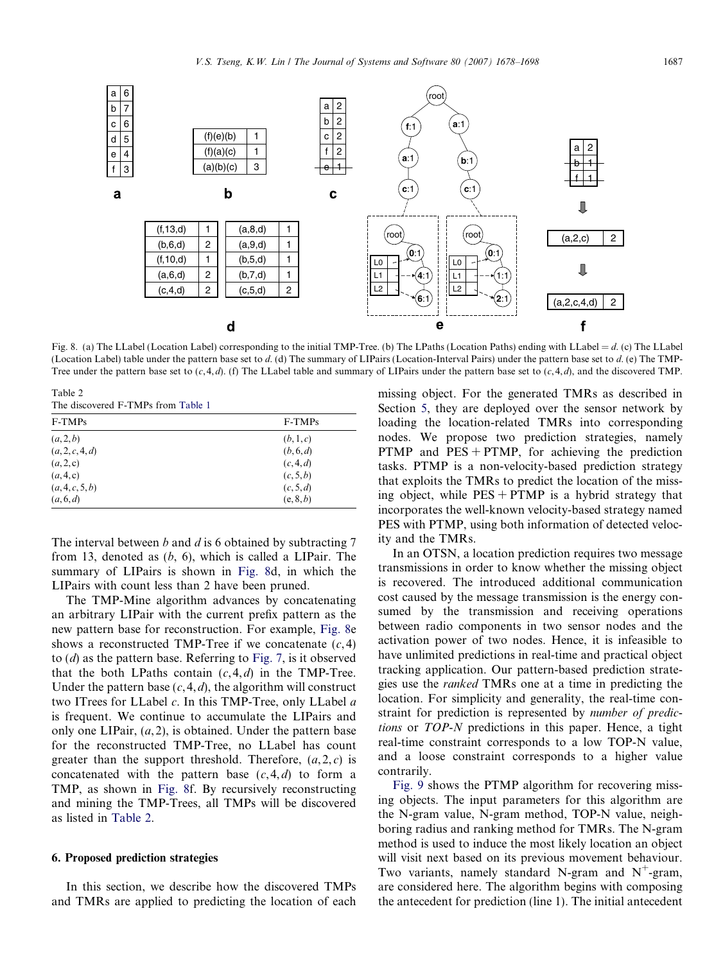<span id="page-9-0"></span>

Fig. 8. (a) The LLabel (Location Label) corresponding to the initial TMP-Tree. (b) The LPaths (Location Paths) ending with LLabel = d. (c) The LLabel (Location Label) table under the pattern base set to d. (d) The summary of LIPairs (Location-Interval Pairs) under the pattern base set to d. (e) The TMP-Tree under the pattern base set to  $(c, 4, d)$ . (f) The LLabel table and summary of LIPairs under the pattern base set to  $(c, 4, d)$ , and the discovered TMP.

Table 2 The discovered F-TMPs from [Table 1](#page-4-0)

| F-TMPs          | F-TMPs    |
|-----------------|-----------|
| (a, 2, b)       | (b, 1, c) |
| (a, 2, c, 4, d) | (b, 6, d) |
| (a, 2, c)       | (c, 4, d) |
| (a, 4, c)       | (c, 5, b) |
| (a, 4, c, 5, b) | (c, 5, d) |
| (a, 6, d)       | (e, 8, b) |

The interval between  $b$  and  $d$  is 6 obtained by subtracting 7 from 13, denoted as  $(b, 6)$ , which is called a LIPair. The summary of LIPairs is shown in Fig. 8d, in which the LIPairs with count less than 2 have been pruned.

The TMP-Mine algorithm advances by concatenating an arbitrary LIPair with the current prefix pattern as the new pattern base for reconstruction. For example, Fig. 8e shows a reconstructed TMP-Tree if we concatenate  $(c, 4)$ to (d) as the pattern base. Referring to [Fig. 7](#page-8-0), is it observed that the both LPaths contain  $(c, 4, d)$  in the TMP-Tree. Under the pattern base  $(c, 4, d)$ , the algorithm will construct two ITrees for LLabel  $c$ . In this TMP-Tree, only LLabel  $a$ is frequent. We continue to accumulate the LIPairs and only one LIPair,  $(a, 2)$ , is obtained. Under the pattern base for the reconstructed TMP-Tree, no LLabel has count greater than the support threshold. Therefore,  $(a, 2, c)$  is concatenated with the pattern base  $(c, 4, d)$  to form a TMP, as shown in Fig. 8f. By recursively reconstructing and mining the TMP-Trees, all TMPs will be discovered as listed in Table 2.

# 6. Proposed prediction strategies

In this section, we describe how the discovered TMPs and TMRs are applied to predicting the location of each missing object. For the generated TMRs as described in Section [5,](#page-4-0) they are deployed over the sensor network by loading the location-related TMRs into corresponding nodes. We propose two prediction strategies, namely PTMP and  $PES + PTMP$ , for achieving the prediction tasks. PTMP is a non-velocity-based prediction strategy that exploits the TMRs to predict the location of the missing object, while  $PES + PTMP$  is a hybrid strategy that incorporates the well-known velocity-based strategy named PES with PTMP, using both information of detected velocity and the TMRs.

In an OTSN, a location prediction requires two message transmissions in order to know whether the missing object is recovered. The introduced additional communication cost caused by the message transmission is the energy consumed by the transmission and receiving operations between radio components in two sensor nodes and the activation power of two nodes. Hence, it is infeasible to have unlimited predictions in real-time and practical object tracking application. Our pattern-based prediction strategies use the ranked TMRs one at a time in predicting the location. For simplicity and generality, the real-time constraint for prediction is represented by number of predictions or TOP-N predictions in this paper. Hence, a tight real-time constraint corresponds to a low TOP-N value, and a loose constraint corresponds to a higher value contrarily.

[Fig. 9](#page-10-0) shows the PTMP algorithm for recovering missing objects. The input parameters for this algorithm are the N-gram value, N-gram method, TOP-N value, neighboring radius and ranking method for TMRs. The N-gram method is used to induce the most likely location an object will visit next based on its previous movement behaviour. Two variants, namely standard N-gram and  $N^+$ -gram, are considered here. The algorithm begins with composing the antecedent for prediction (line 1). The initial antecedent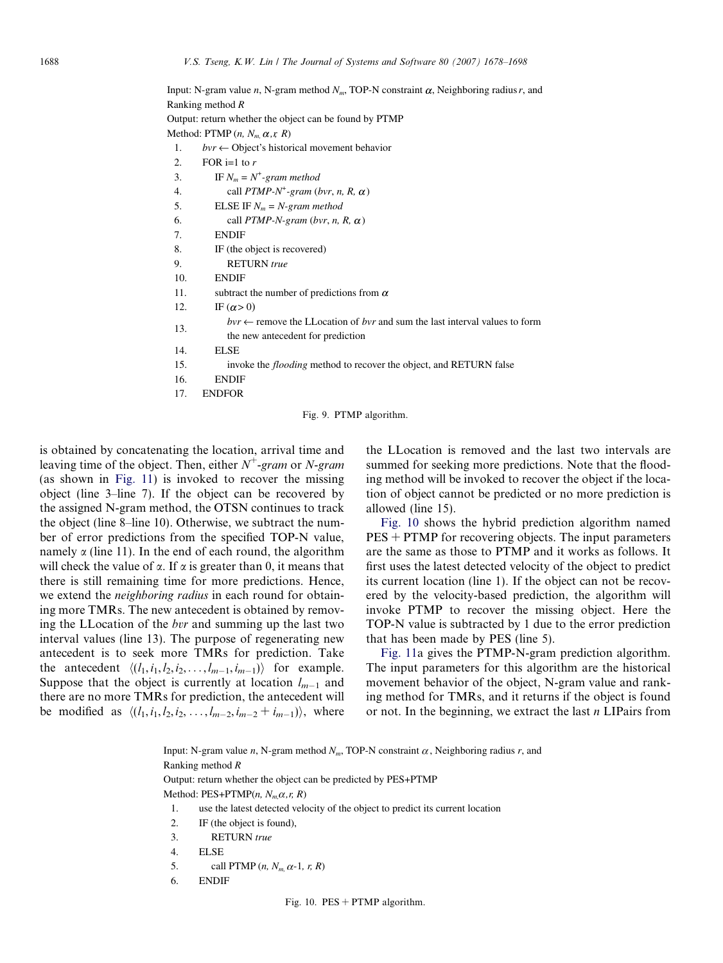<span id="page-10-0"></span>

| Input: N-gram value n, N-gram method $N_m$ , TOP-N constraint $\alpha$ , Neighboring radius r, and |  |
|----------------------------------------------------------------------------------------------------|--|
| Ranking method $R$                                                                                 |  |
| Output: return whether the object can be found by PTMP                                             |  |
| Method: PTMP $(n, N_m \alpha, r R)$                                                                |  |
| $bvr \leftarrow$ Object's historical movement behavior<br>1.                                       |  |
| FOR i=1 to $r$<br>2.                                                                               |  |
| IF $N_m = N^+$ -gram method<br>3.                                                                  |  |
| call PTMP-N <sup>+</sup> -gram (bvr, n, R, $\alpha$ )<br>4.                                        |  |
| ELSE IF $N_m = N$ -gram method<br>5.                                                               |  |
| 6.<br>call PTMP-N-gram (bvr, n, R, $\alpha$ )                                                      |  |
| 7.<br><b>ENDIF</b>                                                                                 |  |
| 8.<br>IF (the object is recovered)                                                                 |  |
| 9.<br><b>RETURN</b> true                                                                           |  |
| 10.<br><b>ENDIF</b>                                                                                |  |
| 11.<br>subtract the number of predictions from $\alpha$                                            |  |
| 12.<br>IF $(\alpha > 0)$                                                                           |  |
| $bvr \leftarrow$ remove the LLocation of $bvr$ and sum the last interval values to form<br>13.     |  |
| the new antecedent for prediction                                                                  |  |
| 14.<br><b>ELSE</b>                                                                                 |  |
| 15.<br>invoke the <i>flooding</i> method to recover the object, and RETURN false                   |  |
| 16.<br><b>ENDIF</b>                                                                                |  |
| <b>ENDFOR</b><br>17.                                                                               |  |
|                                                                                                    |  |

Fig. 9. PTMP algorithm.

is obtained by concatenating the location, arrival time and leaving time of the object. Then, either  $N^+$ -gram or N-gram (as shown in [Fig. 11](#page-11-0)) is invoked to recover the missing object (line 3–line 7). If the object can be recovered by the assigned N-gram method, the OTSN continues to track the object (line 8–line 10). Otherwise, we subtract the number of error predictions from the specified TOP-N value, namely  $\alpha$  (line 11). In the end of each round, the algorithm will check the value of  $\alpha$ . If  $\alpha$  is greater than 0, it means that there is still remaining time for more predictions. Hence, we extend the neighboring radius in each round for obtaining more TMRs. The new antecedent is obtained by removing the LLocation of the bvr and summing up the last two interval values (line 13). The purpose of regenerating new antecedent is to seek more TMRs for prediction. Take the antecedent  $\langle (l_1, i_1, l_2, i_2, \ldots, l_{m-1}, i_{m-1}) \rangle$  for example. Suppose that the object is currently at location  $l_{m-1}$  and there are no more TMRs for prediction, the antecedent will be modified as  $\langle (l_1, i_1, l_2, i_2, \ldots, l_{m-2}, i_{m-2} + i_{m-1}) \rangle$ , where

the LLocation is removed and the last two intervals are summed for seeking more predictions. Note that the flooding method will be invoked to recover the object if the location of object cannot be predicted or no more prediction is allowed (line 15).

Fig. 10 shows the hybrid prediction algorithm named PES + PTMP for recovering objects. The input parameters are the same as those to PTMP and it works as follows. It first uses the latest detected velocity of the object to predict its current location (line 1). If the object can not be recovered by the velocity-based prediction, the algorithm will invoke PTMP to recover the missing object. Here the TOP-N value is subtracted by 1 due to the error prediction that has been made by PES (line 5).

[Fig. 11a](#page-11-0) gives the PTMP-N-gram prediction algorithm. The input parameters for this algorithm are the historical movement behavior of the object, N-gram value and ranking method for TMRs, and it returns if the object is found or not. In the beginning, we extract the last  $n$  LIPairs from

Input: N-gram value *n*, N-gram method  $N_m$ , TOP-N constraint  $\alpha$ , Neighboring radius *r*, and Ranking method *R* Output: return whether the object can be predicted by PES+PTMP Method: PES+PTMP $(n, N_m \propto, r, R)$ 1. use the latest detected velocity of the object to predict its current location 2. IF (the object is found), 3. RETURN *true* 4. ELSE 5. call PTMP  $(n, N_m, \alpha-1, r, R)$ 

6. ENDIF

Fig. 10. PES + PTMP algorithm.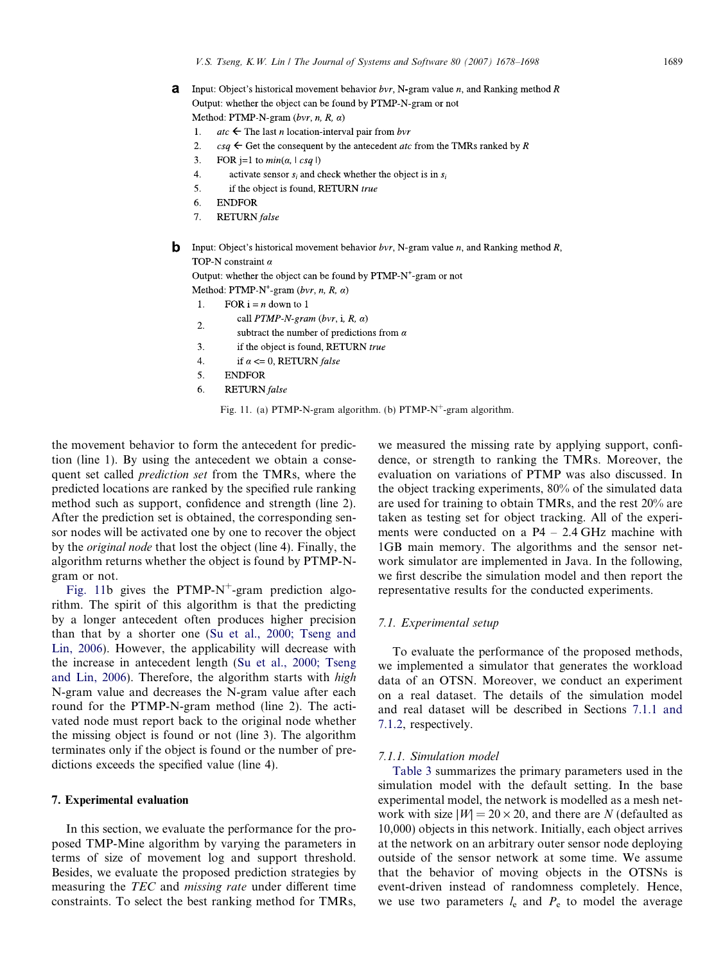- <span id="page-11-0"></span>**a** Input: Object's historical movement behavior by  $r$ , N-gram value  $n$ , and Ranking method  $R$ Output: whether the object can be found by PTMP-N-gram or not Method: PTMP-N-gram  $(bvr, n, R, \alpha)$ 
	- atc  $\leftarrow$  The last *n* location-interval pair from byr  $\mathbf{1}$ .
	- $2^{\circ}$  $csq \leftarrow$  Get the consequent by the antecedent *atc* from the TMRs ranked by R
	- 3. FOR  $j=1$  to  $min(\alpha, \lfloor csq \rfloor)$
	- $\overline{4}$ . activate sensor  $s_i$  and check whether the object is in  $s_i$
	- 5. if the object is found, RETURN true
	- 6. **ENDFOR**
	- RETURN false  $\overline{7}$
- **b** Input: Object's historical movement behavior by r, N-gram value n, and Ranking method R, TOP-N constraint  $\alpha$

Output: whether the object can be found by PTMP-N<sup>+</sup>-gram or not

Method: PTMP-N<sup>+</sup>-gram (bvr, n, R,  $\alpha$ )

- FOR  $i = n$  down to 1  $\mathbf{1}$
- call PTMP-N-gram (byr, i, R,  $\alpha$ )  $\overline{2}$ .
- subtract the number of predictions from  $\alpha$
- $\overline{3}$ . if the object is found, RETURN true
- $4.$ if  $\alpha \leq 0$ , RETURN *false*
- 5. **ENDFOR**
- 6. RETURN false

Fig. 11. (a) PTMP-N-gram algorithm. (b)  $PTMP-N^+$ -gram algorithm.

the movement behavior to form the antecedent for prediction (line 1). By using the antecedent we obtain a consequent set called prediction set from the TMRs, where the predicted locations are ranked by the specified rule ranking method such as support, confidence and strength (line 2). After the prediction set is obtained, the corresponding sensor nodes will be activated one by one to recover the object by the original node that lost the object (line 4). Finally, the algorithm returns whether the object is found by PTMP-Ngram or not.

Fig. 11b gives the  $PTMP-N^+$ -gram prediction algorithm. The spirit of this algorithm is that the predicting by a longer antecedent often produces higher precision than that by a shorter one [\(Su et al., 2000; Tseng and](#page-19-0) [Lin, 2006](#page-19-0)). However, the applicability will decrease with the increase in antecedent length ([Su et al., 2000; Tseng](#page-19-0) [and Lin, 2006](#page-19-0)). Therefore, the algorithm starts with high N-gram value and decreases the N-gram value after each round for the PTMP-N-gram method (line 2). The activated node must report back to the original node whether the missing object is found or not (line 3). The algorithm terminates only if the object is found or the number of predictions exceeds the specified value (line 4).

# 7. Experimental evaluation

In this section, we evaluate the performance for the proposed TMP-Mine algorithm by varying the parameters in terms of size of movement log and support threshold. Besides, we evaluate the proposed prediction strategies by measuring the TEC and missing rate under different time constraints. To select the best ranking method for TMRs, we measured the missing rate by applying support, confidence, or strength to ranking the TMRs. Moreover, the evaluation on variations of PTMP was also discussed. In the object tracking experiments, 80% of the simulated data are used for training to obtain TMRs, and the rest 20% are taken as testing set for object tracking. All of the experiments were conducted on a P4 – 2.4 GHz machine with 1GB main memory. The algorithms and the sensor network simulator are implemented in Java. In the following, we first describe the simulation model and then report the representative results for the conducted experiments.

# 7.1. Experimental setup

To evaluate the performance of the proposed methods, we implemented a simulator that generates the workload data of an OTSN. Moreover, we conduct an experiment on a real dataset. The details of the simulation model and real dataset will be described in Sections 7.1.1 and 7.1.2, respectively.

## 7.1.1. Simulation model

[Table 3](#page-12-0) summarizes the primary parameters used in the simulation model with the default setting. In the base experimental model, the network is modelled as a mesh network with size  $|W| = 20 \times 20$ , and there are N (defaulted as 10,000) objects in this network. Initially, each object arrives at the network on an arbitrary outer sensor node deploying outside of the sensor network at some time. We assume that the behavior of moving objects in the OTSNs is event-driven instead of randomness completely. Hence, we use two parameters  $l_e$  and  $P_e$  to model the average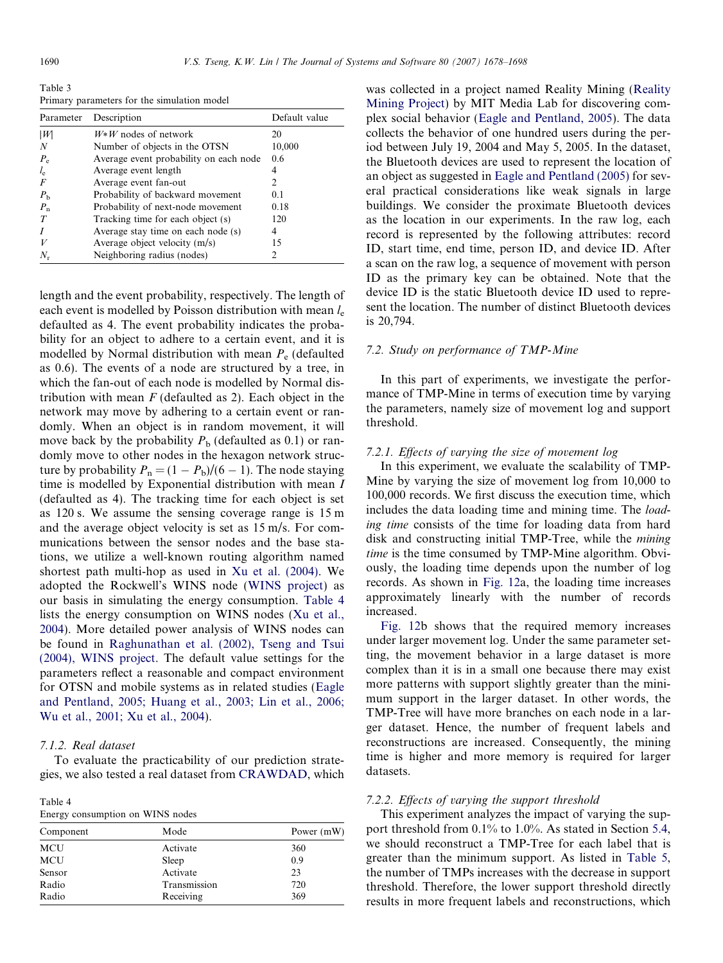<span id="page-12-0"></span>Table 3 Primary parameters for the simulation model

| Parameter      | Description                            | Default value |  |
|----------------|----------------------------------------|---------------|--|
| W              | $W*W$ nodes of network                 | 20            |  |
| N              | Number of objects in the OTSN          | 10,000        |  |
| $P_{\rm e}$    | Average event probability on each node | 0.6           |  |
| $l_{\rm e}$    | Average event length                   | 4             |  |
| $\overline{F}$ | Average event fan-out                  | 2             |  |
| $P_{\rm b}$    | Probability of backward movement       | 0.1           |  |
| $P_{\rm n}$    | Probability of next-node movement      | 0.18          |  |
| T              | Tracking time for each object (s)      | 120           |  |
|                | Average stay time on each node (s)     | 4             |  |
|                | Average object velocity $(m/s)$        | 15            |  |
|                | Neighboring radius (nodes)             |               |  |

length and the event probability, respectively. The length of each event is modelled by Poisson distribution with mean  $l_{\rm e}$ defaulted as 4. The event probability indicates the probability for an object to adhere to a certain event, and it is modelled by Normal distribution with mean  $P_e$  (defaulted as 0.6). The events of a node are structured by a tree, in which the fan-out of each node is modelled by Normal distribution with mean  $F$  (defaulted as 2). Each object in the network may move by adhering to a certain event or randomly. When an object is in random movement, it will move back by the probability  $P_{\rm b}$  (defaulted as 0.1) or randomly move to other nodes in the hexagon network structure by probability  $P_n = (1 - P_b)/(6 - 1)$ . The node staying time is modelled by Exponential distribution with mean I (defaulted as 4). The tracking time for each object is set as 120 s. We assume the sensing coverage range is 15 m and the average object velocity is set as 15 m/s. For communications between the sensor nodes and the base stations, we utilize a well-known routing algorithm named shortest path multi-hop as used in [Xu et al. \(2004\)](#page-20-0). We adopted the Rockwell's WINS node [\(WINS project\)](#page-20-0) as our basis in simulating the energy consumption. Table 4 lists the energy consumption on WINS nodes [\(Xu et al.,](#page-20-0) [2004\)](#page-20-0). More detailed power analysis of WINS nodes can be found in [Raghunathan et al. \(2002\), Tseng and Tsui](#page-19-0) [\(2004\), WINS project.](#page-19-0) The default value settings for the parameters reflect a reasonable and compact environment for OTSN and mobile systems as in related studies [\(Eagle](#page-19-0) [and Pentland, 2005; Huang et al., 2003; Lin et al., 2006;](#page-19-0) [Wu et al., 2001; Xu et al., 2004\)](#page-19-0).

# 7.1.2. Real dataset

To evaluate the practicability of our prediction strategies, we also tested a real dataset from [CRAWDAD](#page-19-0), which

Table 4

Energy consumption on WINS nodes

| Component  | Mode         | Power (mW) |  |  |
|------------|--------------|------------|--|--|
| MCU        | Activate     | 360        |  |  |
| <b>MCU</b> | Sleep        | 0.9        |  |  |
| Sensor     | Activate     | 23         |  |  |
| Radio      | Transmission | 720        |  |  |
| Radio      | Receiving    | 369        |  |  |

was collected in a project named Reality Mining ([Reality](#page-19-0) [Mining Project\)](#page-19-0) by MIT Media Lab for discovering complex social behavior [\(Eagle and Pentland, 2005\)](#page-19-0). The data collects the behavior of one hundred users during the period between July 19, 2004 and May 5, 2005. In the dataset, the Bluetooth devices are used to represent the location of an object as suggested in [Eagle and Pentland \(2005\)](#page-19-0) for several practical considerations like weak signals in large buildings. We consider the proximate Bluetooth devices as the location in our experiments. In the raw log, each record is represented by the following attributes: record ID, start time, end time, person ID, and device ID. After a scan on the raw log, a sequence of movement with person ID as the primary key can be obtained. Note that the device ID is the static Bluetooth device ID used to represent the location. The number of distinct Bluetooth devices is 20,794.

## 7.2. Study on performance of TMP-Mine

In this part of experiments, we investigate the performance of TMP-Mine in terms of execution time by varying the parameters, namely size of movement log and support threshold.

## 7.2.1. Effects of varying the size of movement log

In this experiment, we evaluate the scalability of TMP-Mine by varying the size of movement log from 10,000 to 100,000 records. We first discuss the execution time, which includes the data loading time and mining time. The *load*ing time consists of the time for loading data from hard disk and constructing initial TMP-Tree, while the mining time is the time consumed by TMP-Mine algorithm. Obviously, the loading time depends upon the number of log records. As shown in [Fig. 12a](#page-13-0), the loading time increases approximately linearly with the number of records increased.

[Fig. 12b](#page-13-0) shows that the required memory increases under larger movement log. Under the same parameter setting, the movement behavior in a large dataset is more complex than it is in a small one because there may exist more patterns with support slightly greater than the minimum support in the larger dataset. In other words, the TMP-Tree will have more branches on each node in a larger dataset. Hence, the number of frequent labels and reconstructions are increased. Consequently, the mining time is higher and more memory is required for larger datasets.

## 7.2.2. Effects of varying the support threshold

This experiment analyzes the impact of varying the support threshold from 0.1% to 1.0%. As stated in Section [5.4](#page-6-0), we should reconstruct a TMP-Tree for each label that is greater than the minimum support. As listed in [Table 5](#page-13-0), the number of TMPs increases with the decrease in support threshold. Therefore, the lower support threshold directly results in more frequent labels and reconstructions, which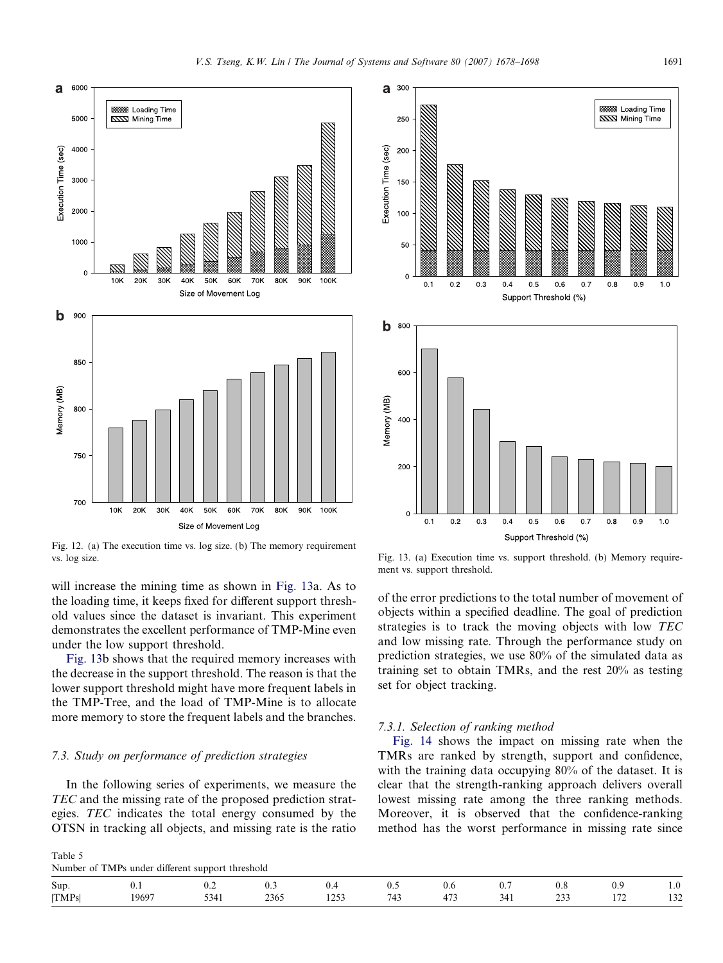<span id="page-13-0"></span>

Fig. 12. (a) The execution time vs. log size. (b) The memory requirement vs. log size.

will increase the mining time as shown in Fig. 13a. As to the loading time, it keeps fixed for different support threshold values since the dataset is invariant. This experiment demonstrates the excellent performance of TMP-Mine even under the low support threshold.

Fig. 13b shows that the required memory increases with the decrease in the support threshold. The reason is that the lower support threshold might have more frequent labels in the TMP-Tree, and the load of TMP-Mine is to allocate more memory to store the frequent labels and the branches.

## 7.3. Study on performance of prediction strategies

In the following series of experiments, we measure the TEC and the missing rate of the proposed prediction strategies. TEC indicates the total energy consumed by the OTSN in tracking all objects, and missing rate is the ratio

Table 5



of the error predictions to the total number of movement of objects within a specified deadline. The goal of prediction strategies is to track the moving objects with low TEC and low missing rate. Through the performance study on prediction strategies, we use 80% of the simulated data as training set to obtain TMRs, and the rest 20% as testing

Fig. 13. (a) Execution time vs. support threshold. (b) Memory require-

 $0.5$ 

Support Threshold (%)

 $06$ 

 $0.7$ 

 $0.8$ 

 $0.9$ 

 $10$ 

## 7.3.1. Selection of ranking method

set for object tracking.

ment vs. support threshold.

 $0.2$ 

 $0<sub>3</sub>$ 

 $0.4$ 

200

 $\mathfrak o$  $0.1$ 

[Fig. 14](#page-14-0) shows the impact on missing rate when the TMRs are ranked by strength, support and confidence, with the training data occupying 80% of the dataset. It is clear that the strength-ranking approach delivers overall lowest missing rate among the three ranking methods. Moreover, it is observed that the confidence-ranking method has the worst performance in missing rate since

| Number of                 | s under different support threshold<br>$\Delta$ TMPs $\mu$ |                         |      |              |            |                      |     |                |                        |               |
|---------------------------|------------------------------------------------------------|-------------------------|------|--------------|------------|----------------------|-----|----------------|------------------------|---------------|
| Sup.                      | ν.ι                                                        | $\mathsf{u}.\mathsf{v}$ | v.,  | ∪.⊣          | υ.,        | v.o                  | v., | v.o            | 0.9                    | 1.0           |
| $\vert \text{TMPs} \vert$ | 9697                                                       | 534<br>◡◡⊤ェ             | 2365 | エウミウ<br>12JJ | $-11$<br>ு | $\overline{a}$<br>⊶. | 341 | 22<br><u>_</u> | 1.72<br>$\cdot$ $\sim$ | 1.22<br>1 J 4 |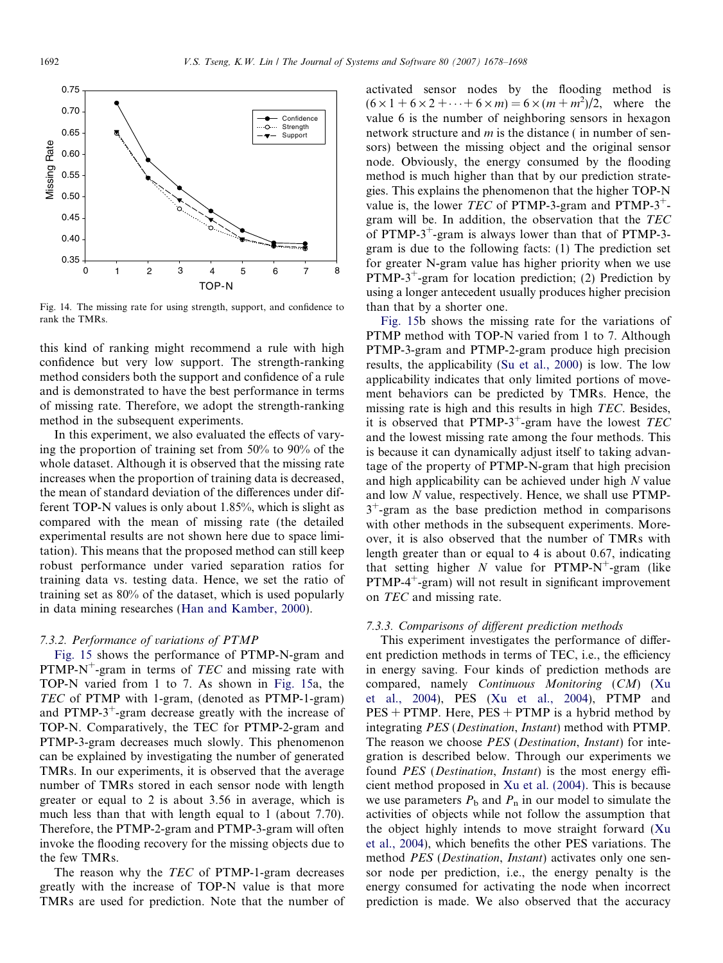<span id="page-14-0"></span>

Fig. 14. The missing rate for using strength, support, and confidence to rank the TMRs.

this kind of ranking might recommend a rule with high confidence but very low support. The strength-ranking method considers both the support and confidence of a rule and is demonstrated to have the best performance in terms of missing rate. Therefore, we adopt the strength-ranking method in the subsequent experiments.

In this experiment, we also evaluated the effects of varying the proportion of training set from 50% to 90% of the whole dataset. Although it is observed that the missing rate increases when the proportion of training data is decreased, the mean of standard deviation of the differences under different TOP-N values is only about 1.85%, which is slight as compared with the mean of missing rate (the detailed experimental results are not shown here due to space limitation). This means that the proposed method can still keep robust performance under varied separation ratios for training data vs. testing data. Hence, we set the ratio of training set as 80% of the dataset, which is used popularly in data mining researches [\(Han and Kamber, 2000\)](#page-19-0).

## 7.3.2. Performance of variations of PTMP

[Fig. 15](#page-15-0) shows the performance of PTMP-N-gram and  $PTMP-N^+$ -gram in terms of *TEC* and missing rate with TOP-N varied from 1 to 7. As shown in [Fig. 15a](#page-15-0), the TEC of PTMP with 1-gram, (denoted as PTMP-1-gram) and PTMP-3<sup>+</sup>-gram decrease greatly with the increase of TOP-N. Comparatively, the TEC for PTMP-2-gram and PTMP-3-gram decreases much slowly. This phenomenon can be explained by investigating the number of generated TMRs. In our experiments, it is observed that the average number of TMRs stored in each sensor node with length greater or equal to 2 is about 3.56 in average, which is much less than that with length equal to 1 (about 7.70). Therefore, the PTMP-2-gram and PTMP-3-gram will often invoke the flooding recovery for the missing objects due to the few TMRs.

The reason why the TEC of PTMP-1-gram decreases greatly with the increase of TOP-N value is that more TMRs are used for prediction. Note that the number of activated sensor nodes by the flooding method is  $(6 \times 1 + 6 \times 2 + \cdots + 6 \times m) = 6 \times (m + m^2)/2$ , where the value 6 is the number of neighboring sensors in hexagon network structure and  $m$  is the distance (in number of sensors) between the missing object and the original sensor node. Obviously, the energy consumed by the flooding method is much higher than that by our prediction strategies. This explains the phenomenon that the higher TOP-N value is, the lower *TEC* of PTMP-3-gram and PTMP-3<sup>+</sup>gram will be. In addition, the observation that the TEC of  $PTMP-3^+$ -gram is always lower than that of  $PTMP-3^$ gram is due to the following facts: (1) The prediction set for greater N-gram value has higher priority when we use  $PTMP-3^+$ -gram for location prediction; (2) Prediction by using a longer antecedent usually produces higher precision than that by a shorter one.

[Fig. 15](#page-15-0)b shows the missing rate for the variations of PTMP method with TOP-N varied from 1 to 7. Although PTMP-3-gram and PTMP-2-gram produce high precision results, the applicability [\(Su et al., 2000\)](#page-19-0) is low. The low applicability indicates that only limited portions of movement behaviors can be predicted by TMRs. Hence, the missing rate is high and this results in high TEC. Besides, it is observed that PTMP-3<sup>+</sup>-gram have the lowest  $TEC$ and the lowest missing rate among the four methods. This is because it can dynamically adjust itself to taking advantage of the property of PTMP-N-gram that high precision and high applicability can be achieved under high N value and low N value, respectively. Hence, we shall use PTMP- $3^+$ -gram as the base prediction method in comparisons with other methods in the subsequent experiments. Moreover, it is also observed that the number of TMRs with length greater than or equal to 4 is about 0.67, indicating that setting higher N value for  $PTMP-N^+$ -gram (like  $PTMP-4^+$ -gram) will not result in significant improvement on TEC and missing rate.

# 7.3.3. Comparisons of different prediction methods

This experiment investigates the performance of different prediction methods in terms of TEC, i.e., the efficiency in energy saving. Four kinds of prediction methods are compared, namely Continuous Monitoring (CM) ([Xu](#page-20-0) [et al., 2004\)](#page-20-0), PES ([Xu et al., 2004\)](#page-20-0), PTMP and  $PES + PTMP$ . Here,  $PES + PTMP$  is a hybrid method by integrating PES (Destination, Instant) method with PTMP. The reason we choose PES (Destination, Instant) for integration is described below. Through our experiments we found PES (Destination, Instant) is the most energy efficient method proposed in [Xu et al. \(2004\)](#page-20-0). This is because we use parameters  $P_b$  and  $P_n$  in our model to simulate the activities of objects while not follow the assumption that the object highly intends to move straight forward ([Xu](#page-20-0) [et al., 2004](#page-20-0)), which benefits the other PES variations. The method PES (Destination, Instant) activates only one sensor node per prediction, i.e., the energy penalty is the energy consumed for activating the node when incorrect prediction is made. We also observed that the accuracy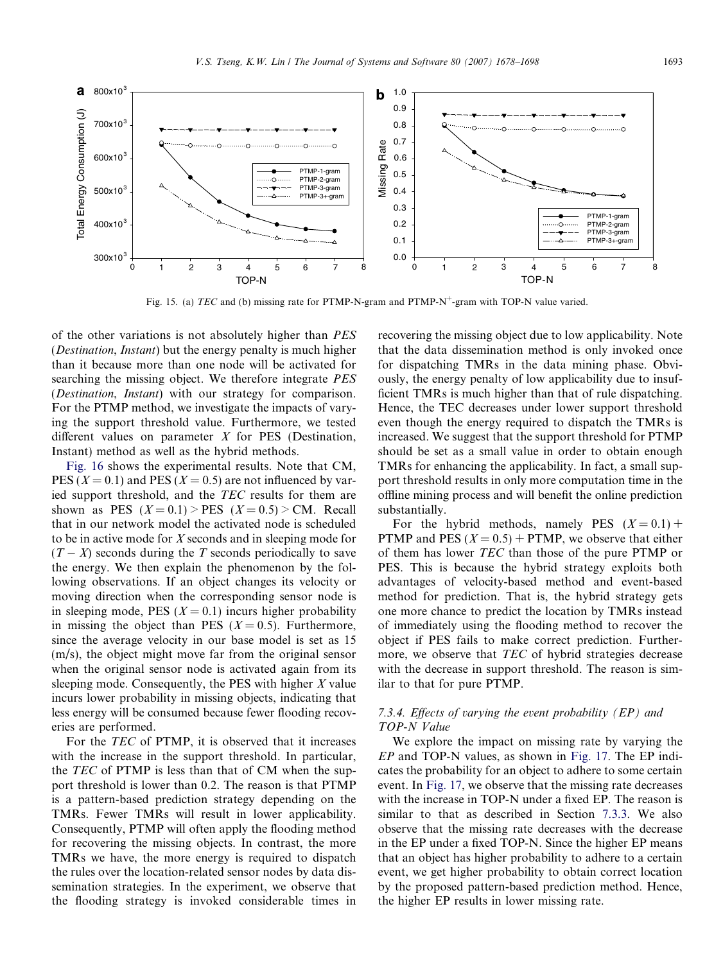<span id="page-15-0"></span>

Fig. 15. (a) TEC and (b) missing rate for PTMP-N-gram and PTMP-N<sup>+</sup>-gram with TOP-N value varied.

of the other variations is not absolutely higher than PES (*Destination, Instant*) but the energy penalty is much higher than it because more than one node will be activated for searching the missing object. We therefore integrate PES (Destination, Instant) with our strategy for comparison. For the PTMP method, we investigate the impacts of varying the support threshold value. Furthermore, we tested different values on parameter X for PES (Destination, Instant) method as well as the hybrid methods.

[Fig. 16](#page-16-0) shows the experimental results. Note that CM, PES ( $X = 0.1$ ) and PES ( $X = 0.5$ ) are not influenced by varied support threshold, and the TEC results for them are shown as PES  $(X=0.1)$  > PES  $(X=0.5)$  > CM. Recall that in our network model the activated node is scheduled to be in active mode for X seconds and in sleeping mode for  $(T - X)$  seconds during the T seconds periodically to save the energy. We then explain the phenomenon by the following observations. If an object changes its velocity or moving direction when the corresponding sensor node is in sleeping mode, PES  $(X = 0.1)$  incurs higher probability in missing the object than PES  $(X = 0.5)$ . Furthermore, since the average velocity in our base model is set as 15 (m/s), the object might move far from the original sensor when the original sensor node is activated again from its sleeping mode. Consequently, the PES with higher  $X$  value incurs lower probability in missing objects, indicating that less energy will be consumed because fewer flooding recoveries are performed.

For the TEC of PTMP, it is observed that it increases with the increase in the support threshold. In particular, the TEC of PTMP is less than that of CM when the support threshold is lower than 0.2. The reason is that PTMP is a pattern-based prediction strategy depending on the TMRs. Fewer TMRs will result in lower applicability. Consequently, PTMP will often apply the flooding method for recovering the missing objects. In contrast, the more TMRs we have, the more energy is required to dispatch the rules over the location-related sensor nodes by data dissemination strategies. In the experiment, we observe that the flooding strategy is invoked considerable times in recovering the missing object due to low applicability. Note that the data dissemination method is only invoked once for dispatching TMRs in the data mining phase. Obviously, the energy penalty of low applicability due to insufficient TMRs is much higher than that of rule dispatching. Hence, the TEC decreases under lower support threshold even though the energy required to dispatch the TMRs is increased. We suggest that the support threshold for PTMP should be set as a small value in order to obtain enough TMRs for enhancing the applicability. In fact, a small support threshold results in only more computation time in the offline mining process and will benefit the online prediction substantially.

For the hybrid methods, namely PES  $(X = 0.1)$  + PTMP and PES  $(X = 0.5)$  + PTMP, we observe that either of them has lower TEC than those of the pure PTMP or PES. This is because the hybrid strategy exploits both advantages of velocity-based method and event-based method for prediction. That is, the hybrid strategy gets one more chance to predict the location by TMRs instead of immediately using the flooding method to recover the object if PES fails to make correct prediction. Furthermore, we observe that TEC of hybrid strategies decrease with the decrease in support threshold. The reason is similar to that for pure PTMP.

# 7.3.4. Effects of varying the event probability (EP) and TOP-N Value

We explore the impact on missing rate by varying the EP and TOP-N values, as shown in [Fig. 17.](#page-16-0) The EP indicates the probability for an object to adhere to some certain event. In [Fig. 17,](#page-16-0) we observe that the missing rate decreases with the increase in TOP-N under a fixed EP. The reason is similar to that as described in Section [7.3.3.](#page-14-0) We also observe that the missing rate decreases with the decrease in the EP under a fixed TOP-N. Since the higher EP means that an object has higher probability to adhere to a certain event, we get higher probability to obtain correct location by the proposed pattern-based prediction method. Hence, the higher EP results in lower missing rate.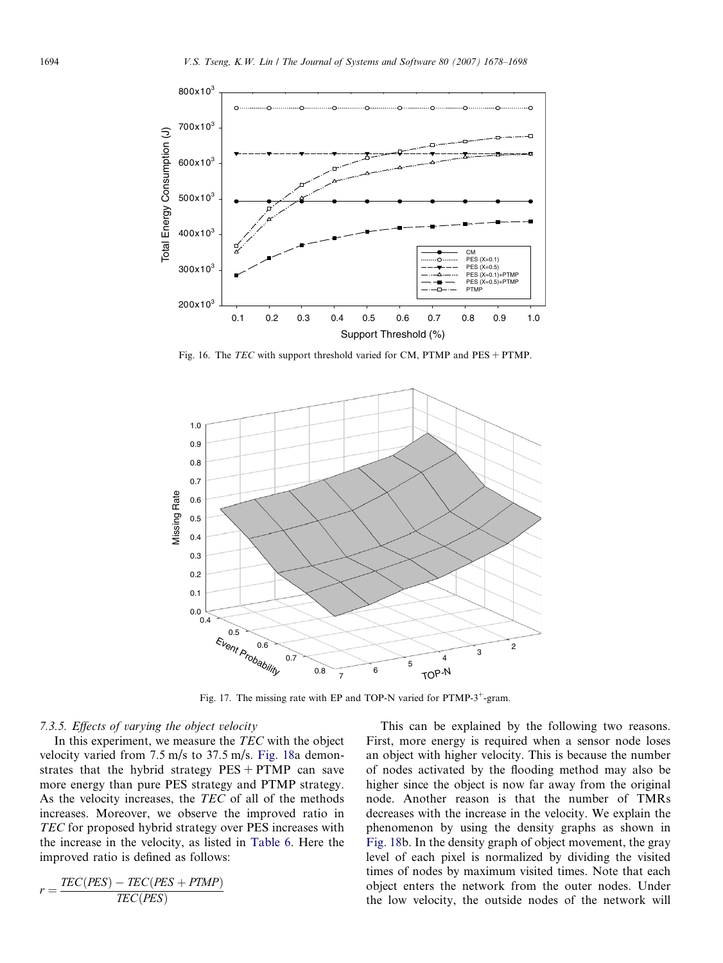<span id="page-16-0"></span>

Fig. 16. The *TEC* with support threshold varied for CM, PTMP and PES + PTMP.



Fig. 17. The missing rate with EP and TOP-N varied for  $PTMP-3^+$ -gram.

## 7.3.5. Effects of varying the object velocity

In this experiment, we measure the TEC with the object velocity varied from 7.5 m/s to 37.5 m/s. [Fig. 18a](#page-17-0) demonstrates that the hybrid strategy  $PES + PTMP$  can save more energy than pure PES strategy and PTMP strategy. As the velocity increases, the TEC of all of the methods increases. Moreover, we observe the improved ratio in TEC for proposed hybrid strategy over PES increases with the increase in the velocity, as listed in [Table 6.](#page-17-0) Here the improved ratio is defined as follows:

$$
r = \frac{TEC(PES) - TEC(PES + PIMP)}{TEC(PES)}
$$

This can be explained by the following two reasons. First, more energy is required when a sensor node loses an object with higher velocity. This is because the number of nodes activated by the flooding method may also be higher since the object is now far away from the original node. Another reason is that the number of TMRs decreases with the increase in the velocity. We explain the phenomenon by using the density graphs as shown in [Fig. 18](#page-17-0)b. In the density graph of object movement, the gray level of each pixel is normalized by dividing the visited times of nodes by maximum visited times. Note that each object enters the network from the outer nodes. Under the low velocity, the outside nodes of the network will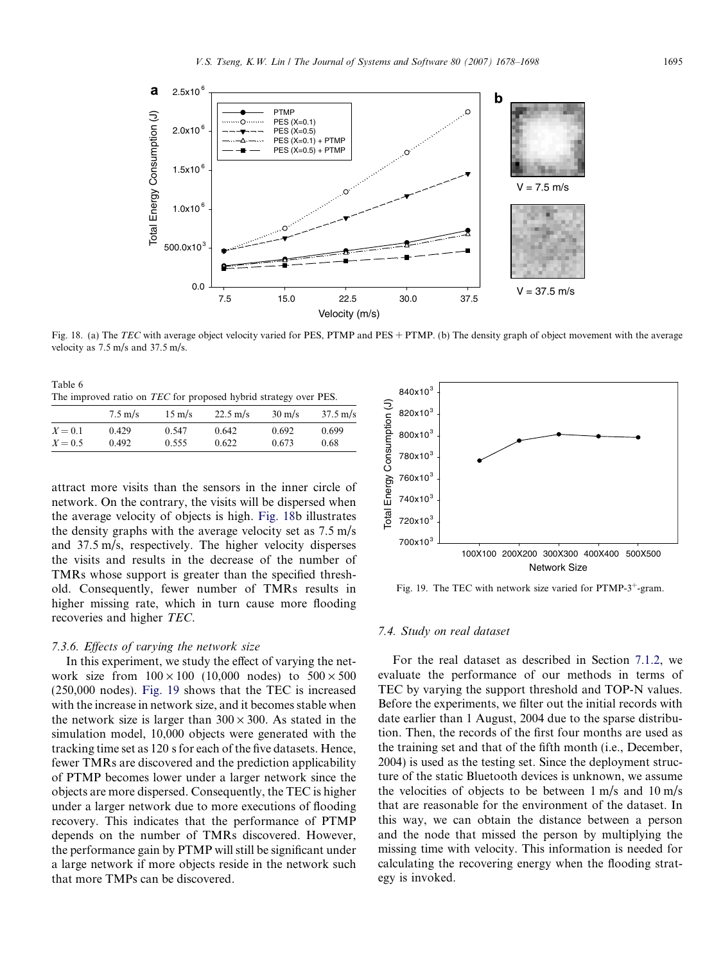<span id="page-17-0"></span>

Fig. 18. (a) The TEC with average object velocity varied for PES, PTMP and PES + PTMP. (b) The density graph of object movement with the average velocity as 7.5 m/s and 37.5 m/s.

Table 6 The improved ratio on *TEC* for proposed hybrid strategy over PES.

| $X=0.1$<br>0.429<br>0.492<br>$X = 0.5$ | 0.547<br>0.555 | 0.642<br>0.622 | 0.692<br>0.673 | 0.699<br>0.68 |
|----------------------------------------|----------------|----------------|----------------|---------------|

attract more visits than the sensors in the inner circle of network. On the contrary, the visits will be dispersed when the average velocity of objects is high. Fig. 18b illustrates the density graphs with the average velocity set as 7.5 m/s and 37.5 m/s, respectively. The higher velocity disperses the visits and results in the decrease of the number of TMRs whose support is greater than the specified threshold. Consequently, fewer number of TMRs results in higher missing rate, which in turn cause more flooding recoveries and higher TEC.

## 7.3.6. Effects of varying the network size

In this experiment, we study the effect of varying the network size from  $100 \times 100$  (10,000 nodes) to  $500 \times 500$ (250,000 nodes). Fig. 19 shows that the TEC is increased with the increase in network size, and it becomes stable when the network size is larger than  $300 \times 300$ . As stated in the simulation model, 10,000 objects were generated with the tracking time set as 120 s for each of the five datasets. Hence, fewer TMRs are discovered and the prediction applicability of PTMP becomes lower under a larger network since the objects are more dispersed. Consequently, the TEC is higher under a larger network due to more executions of flooding recovery. This indicates that the performance of PTMP depends on the number of TMRs discovered. However, the performance gain by PTMP will still be significant under a large network if more objects reside in the network such that more TMPs can be discovered.



Fig. 19. The TEC with network size varied for PTMP-3<sup>+</sup>-gram.

#### 7.4. Study on real dataset

For the real dataset as described in Section [7.1.2,](#page-12-0) we evaluate the performance of our methods in terms of TEC by varying the support threshold and TOP-N values. Before the experiments, we filter out the initial records with date earlier than 1 August, 2004 due to the sparse distribution. Then, the records of the first four months are used as the training set and that of the fifth month (i.e., December, 2004) is used as the testing set. Since the deployment structure of the static Bluetooth devices is unknown, we assume the velocities of objects to be between 1 m/s and 10 m/s that are reasonable for the environment of the dataset. In this way, we can obtain the distance between a person and the node that missed the person by multiplying the missing time with velocity. This information is needed for calculating the recovering energy when the flooding strategy is invoked.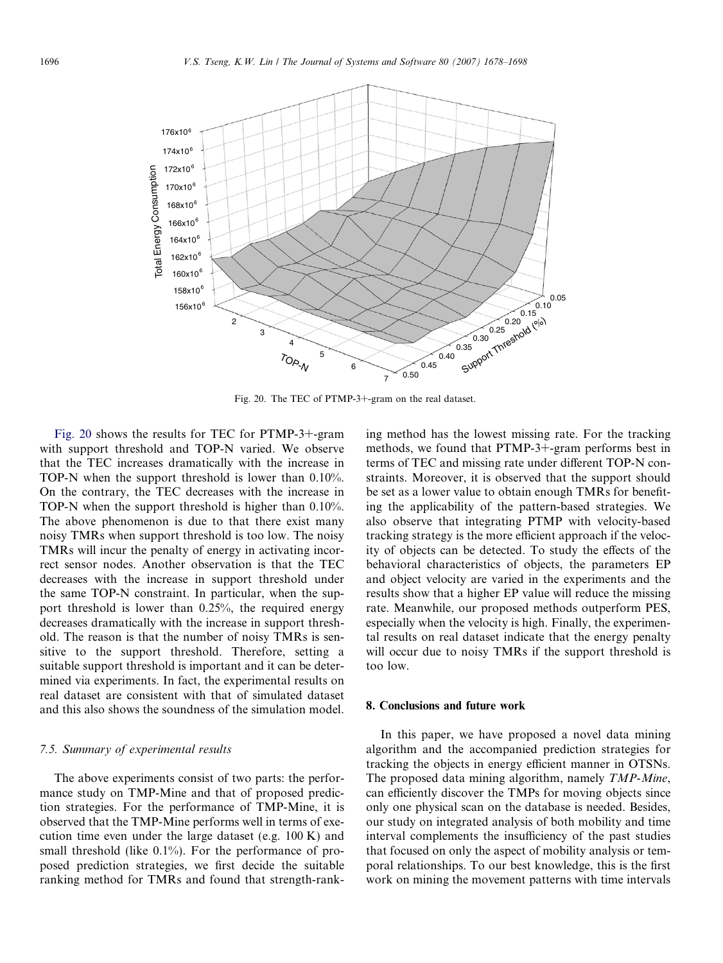<span id="page-18-0"></span>

Fig. 20. The TEC of PTMP-3+-gram on the real dataset.

Fig. 20 shows the results for TEC for PTMP-3+-gram with support threshold and TOP-N varied. We observe that the TEC increases dramatically with the increase in TOP-N when the support threshold is lower than 0.10%. On the contrary, the TEC decreases with the increase in TOP-N when the support threshold is higher than 0.10%. The above phenomenon is due to that there exist many noisy TMRs when support threshold is too low. The noisy TMRs will incur the penalty of energy in activating incorrect sensor nodes. Another observation is that the TEC decreases with the increase in support threshold under the same TOP-N constraint. In particular, when the support threshold is lower than 0.25%, the required energy decreases dramatically with the increase in support threshold. The reason is that the number of noisy TMRs is sensitive to the support threshold. Therefore, setting a suitable support threshold is important and it can be determined via experiments. In fact, the experimental results on real dataset are consistent with that of simulated dataset and this also shows the soundness of the simulation model.

# 7.5. Summary of experimental results

The above experiments consist of two parts: the performance study on TMP-Mine and that of proposed prediction strategies. For the performance of TMP-Mine, it is observed that the TMP-Mine performs well in terms of execution time even under the large dataset (e.g. 100 K) and small threshold (like 0.1%). For the performance of proposed prediction strategies, we first decide the suitable ranking method for TMRs and found that strength-ranking method has the lowest missing rate. For the tracking methods, we found that PTMP-3+-gram performs best in terms of TEC and missing rate under different TOP-N constraints. Moreover, it is observed that the support should be set as a lower value to obtain enough TMRs for benefiting the applicability of the pattern-based strategies. We also observe that integrating PTMP with velocity-based tracking strategy is the more efficient approach if the velocity of objects can be detected. To study the effects of the behavioral characteristics of objects, the parameters EP and object velocity are varied in the experiments and the results show that a higher EP value will reduce the missing rate. Meanwhile, our proposed methods outperform PES, especially when the velocity is high. Finally, the experimental results on real dataset indicate that the energy penalty will occur due to noisy TMRs if the support threshold is too low.

## 8. Conclusions and future work

In this paper, we have proposed a novel data mining algorithm and the accompanied prediction strategies for tracking the objects in energy efficient manner in OTSNs. The proposed data mining algorithm, namely TMP-Mine, can efficiently discover the TMPs for moving objects since only one physical scan on the database is needed. Besides, our study on integrated analysis of both mobility and time interval complements the insufficiency of the past studies that focused on only the aspect of mobility analysis or temporal relationships. To our best knowledge, this is the first work on mining the movement patterns with time intervals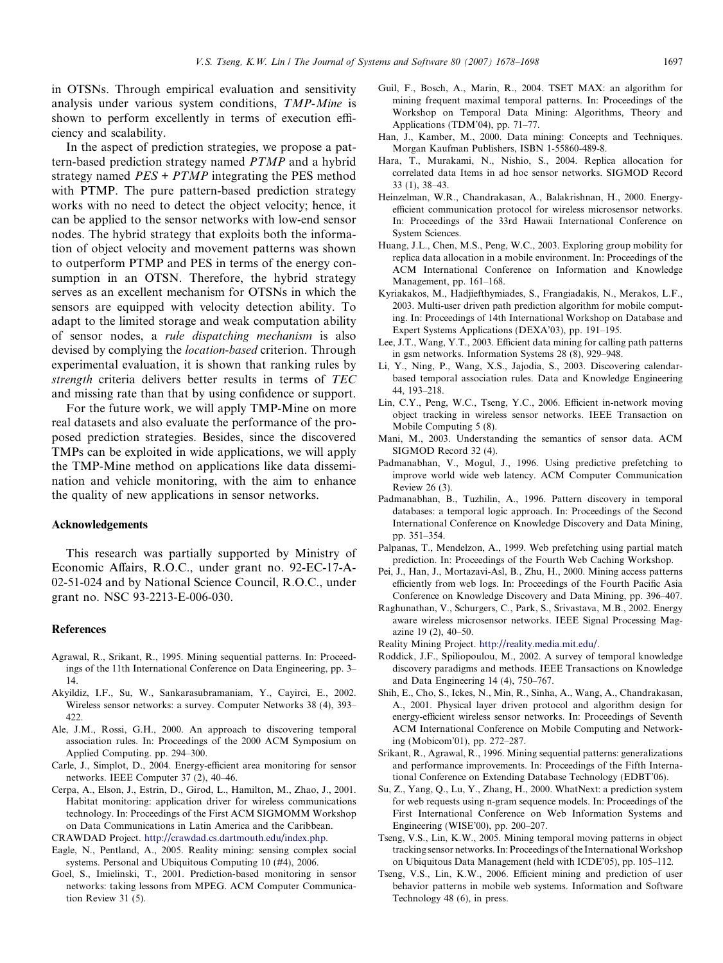<span id="page-19-0"></span>in OTSNs. Through empirical evaluation and sensitivity analysis under various system conditions, TMP-Mine is shown to perform excellently in terms of execution efficiency and scalability.

In the aspect of prediction strategies, we propose a pattern-based prediction strategy named PTMP and a hybrid strategy named  $PES + PTMP$  integrating the PES method with PTMP. The pure pattern-based prediction strategy works with no need to detect the object velocity; hence, it can be applied to the sensor networks with low-end sensor nodes. The hybrid strategy that exploits both the information of object velocity and movement patterns was shown to outperform PTMP and PES in terms of the energy consumption in an OTSN. Therefore, the hybrid strategy serves as an excellent mechanism for OTSNs in which the sensors are equipped with velocity detection ability. To adapt to the limited storage and weak computation ability of sensor nodes, a rule dispatching mechanism is also devised by complying the *location-based* criterion. Through experimental evaluation, it is shown that ranking rules by strength criteria delivers better results in terms of TEC and missing rate than that by using confidence or support.

For the future work, we will apply TMP-Mine on more real datasets and also evaluate the performance of the proposed prediction strategies. Besides, since the discovered TMPs can be exploited in wide applications, we will apply the TMP-Mine method on applications like data dissemination and vehicle monitoring, with the aim to enhance the quality of new applications in sensor networks.

# Acknowledgements

This research was partially supported by Ministry of Economic Affairs, R.O.C., under grant no. 92-EC-17-A-02-51-024 and by National Science Council, R.O.C., under grant no. NSC 93-2213-E-006-030.

## References

- Agrawal, R., Srikant, R., 1995. Mining sequential patterns. In: Proceedings of the 11th International Conference on Data Engineering, pp. 3– 14.
- Akyildiz, I.F., Su, W., Sankarasubramaniam, Y., Cayirci, E., 2002. Wireless sensor networks: a survey. Computer Networks 38 (4), 393– 422
- Ale, J.M., Rossi, G.H., 2000. An approach to discovering temporal association rules. In: Proceedings of the 2000 ACM Symposium on Applied Computing. pp. 294–300.
- Carle, J., Simplot, D., 2004. Energy-efficient area monitoring for sensor networks. IEEE Computer 37 (2), 40–46.
- Cerpa, A., Elson, J., Estrin, D., Girod, L., Hamilton, M., Zhao, J., 2001. Habitat monitoring: application driver for wireless communications technology. In: Proceedings of the First ACM SIGMOMM Workshop on Data Communications in Latin America and the Caribbean.

CRAWDAD Project. <http://crawdad.cs.dartmouth.edu/index.php>.

- Eagle, N., Pentland, A., 2005. Reality mining: sensing complex social systems. Personal and Ubiquitous Computing 10 (#4), 2006.
- Goel, S., Imielinski, T., 2001. Prediction-based monitoring in sensor networks: taking lessons from MPEG. ACM Computer Communication Review 31 (5).
- Guil, F., Bosch, A., Marin, R., 2004. TSET MAX: an algorithm for mining frequent maximal temporal patterns. In: Proceedings of the Workshop on Temporal Data Mining: Algorithms, Theory and Applications (TDM'04), pp. 71–77.
- Han, J., Kamber, M., 2000. Data mining: Concepts and Techniques. Morgan Kaufman Publishers, ISBN 1-55860-489-8.
- Hara, T., Murakami, N., Nishio, S., 2004. Replica allocation for correlated data Items in ad hoc sensor networks. SIGMOD Record 33 (1), 38–43.
- Heinzelman, W.R., Chandrakasan, A., Balakrishnan, H., 2000. Energyefficient communication protocol for wireless microsensor networks. In: Proceedings of the 33rd Hawaii International Conference on System Sciences.
- Huang, J.L., Chen, M.S., Peng, W.C., 2003. Exploring group mobility for replica data allocation in a mobile environment. In: Proceedings of the ACM International Conference on Information and Knowledge Management, pp. 161–168.
- Kyriakakos, M., Hadjiefthymiades, S., Frangiadakis, N., Merakos, L.F., 2003. Multi-user driven path prediction algorithm for mobile computing. In: Proceedings of 14th International Workshop on Database and Expert Systems Applications (DEXA'03), pp. 191–195.
- Lee, J.T., Wang, Y.T., 2003. Efficient data mining for calling path patterns in gsm networks. Information Systems 28 (8), 929–948.
- Li, Y., Ning, P., Wang, X.S., Jajodia, S., 2003. Discovering calendarbased temporal association rules. Data and Knowledge Engineering 44, 193–218.
- Lin, C.Y., Peng, W.C., Tseng, Y.C., 2006. Efficient in-network moving object tracking in wireless sensor networks. IEEE Transaction on Mobile Computing 5 (8).
- Mani, M., 2003. Understanding the semantics of sensor data. ACM SIGMOD Record 32 (4).
- Padmanabhan, V., Mogul, J., 1996. Using predictive prefetching to improve world wide web latency. ACM Computer Communication Review 26 (3).
- Padmanabhan, B., Tuzhilin, A., 1996. Pattern discovery in temporal databases: a temporal logic approach. In: Proceedings of the Second International Conference on Knowledge Discovery and Data Mining, pp. 351–354.
- Palpanas, T., Mendelzon, A., 1999. Web prefetching using partial match prediction. In: Proceedings of the Fourth Web Caching Workshop.
- Pei, J., Han, J., Mortazavi-Asl, B., Zhu, H., 2000. Mining access patterns efficiently from web logs. In: Proceedings of the Fourth Pacific Asia Conference on Knowledge Discovery and Data Mining, pp. 396–407.
- Raghunathan, V., Schurgers, C., Park, S., Srivastava, M.B., 2002. Energy aware wireless microsensor networks. IEEE Signal Processing Magazine 19 (2), 40–50.
- Reality Mining Project. [http://reality.media.mit.edu/.](http://reality.media.mit.edu/)
- Roddick, J.F., Spiliopoulou, M., 2002. A survey of temporal knowledge discovery paradigms and methods. IEEE Transactions on Knowledge and Data Engineering 14 (4), 750–767.
- Shih, E., Cho, S., Ickes, N., Min, R., Sinha, A., Wang, A., Chandrakasan, A., 2001. Physical layer driven protocol and algorithm design for energy-efficient wireless sensor networks. In: Proceedings of Seventh ACM International Conference on Mobile Computing and Networking (Mobicom'01), pp. 272–287.
- Srikant, R., Agrawal, R., 1996. Mining sequential patterns: generalizations and performance improvements. In: Proceedings of the Fifth International Conference on Extending Database Technology (EDBT'06).
- Su, Z., Yang, Q., Lu, Y., Zhang, H., 2000. WhatNext: a prediction system for web requests using n-gram sequence models. In: Proceedings of the First International Conference on Web Information Systems and Engineering (WISE'00), pp. 200–207.
- Tseng, V.S., Lin, K.W., 2005. Mining temporal moving patterns in object tracking sensor networks. In: Proceedings of the International Workshop on Ubiquitous Data Management (held with ICDE'05), pp. 105–112.
- Tseng, V.S., Lin, K.W., 2006. Efficient mining and prediction of user behavior patterns in mobile web systems. Information and Software Technology 48 (6), in press.